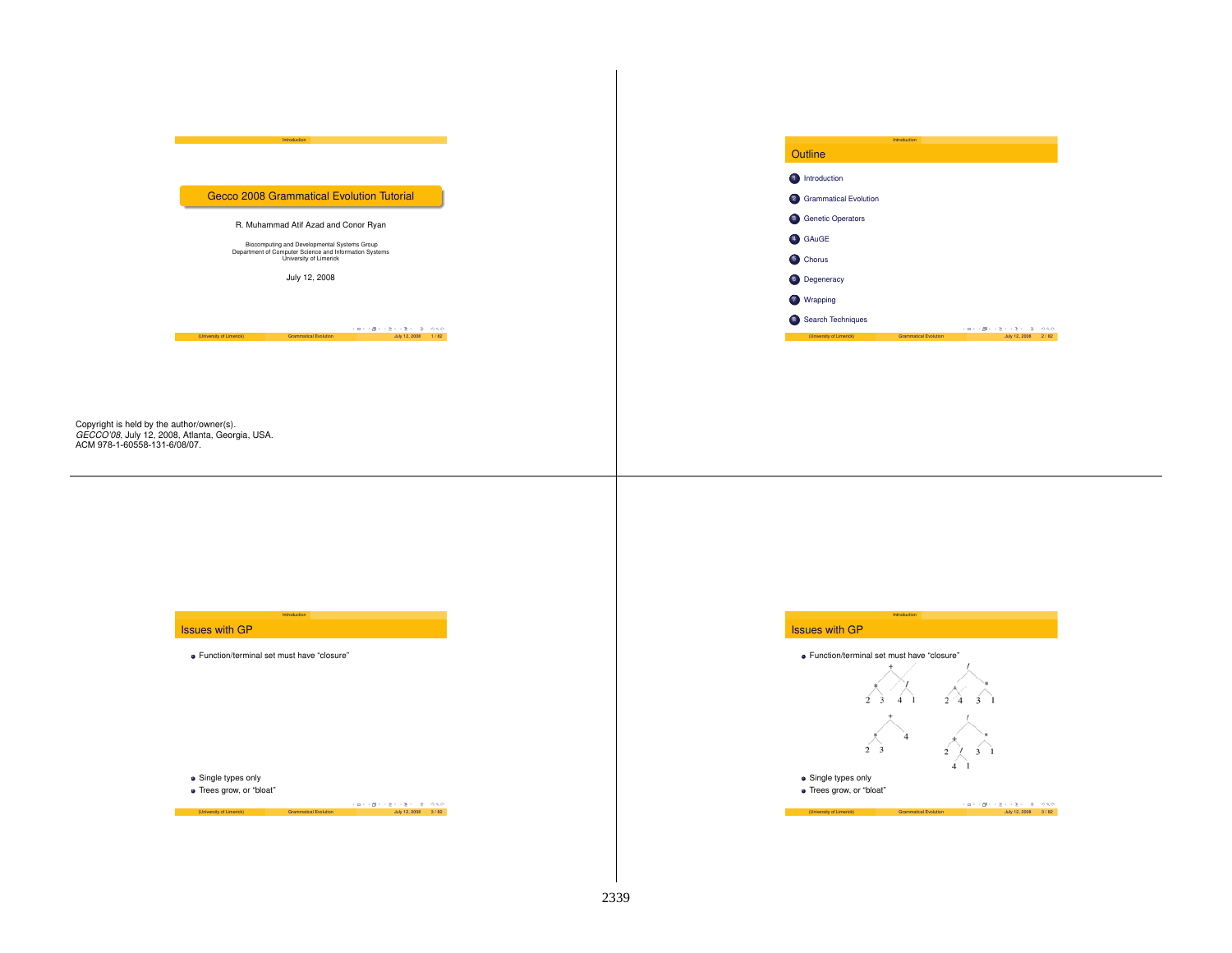#### Gecco 2008 Grammatical Evolution Tutorial

Introduction

## R. Muhammad Atif Azad and Conor Ryan

Biocomputing and Developmental Systems Group Department of Computer Science and Information Systems University of Limerick

July 12, 2008

(University of Limerick) Grammatical Evolution July 12, 2008 1 / 82

 $(U_1 + U_2) + (U_3 + U_4) + (U_5 + U_5) + (U_6 + U_7) + (U_7 + U_8) + (U_8 + U_9) + (U_9 + U_9) + (U_9 + U_9) + (U_9 + U_9) + (U_9 + U_9) + (U_9 + U_9) + (U_9 + U_9) + (U_9 + U_9) + (U_9 + U_9) + (U_9 + U_9) + (U_9 + U_9) + (U_9 + U_9) + (U_9 + U_9) + (U_9 + U_9) + (U_9 + U_9) + (U_9 + U_9) + (U_9 + U_9) +$ 

## Copyright is held by the author/owner(s). *GECCO'08*, July 12, 2008, Atlanta, Georgia, USA. ACM 978-1-60558-131-6/08/07.

## Issues with GP

Function/terminal set must have "closure"

Introductio

Single types only

Trees grow, or "bloat"

# Outline 1 Introduction 2 Grammatical Evolution

Introduction

- 
- 3 Genetic Operators
- 4 GAuGE
- 5 Chorus

6 Degeneracy

7 Wrapping

8 Search Techniques  $\overline{\phantom{a}}$  The Future  $\overline{\phantom{a}}$ 

 $\begin{array}{lcl} \left( & \Box \right) & \left( \frac{\partial}{\partial \theta} \right) & \left( \frac{\partial}{\partial \theta} \right) & \left( \frac{\partial}{\partial \theta} \right) & \left( \frac{\partial}{\partial \theta} \right) & \partial \phi \left( \frac{\partial \phi}{\partial \theta} \right) \\ & & \mbox{Unly 12, 2008} & 2 / 82 \end{array}$ 

## Issues with GP



Introduction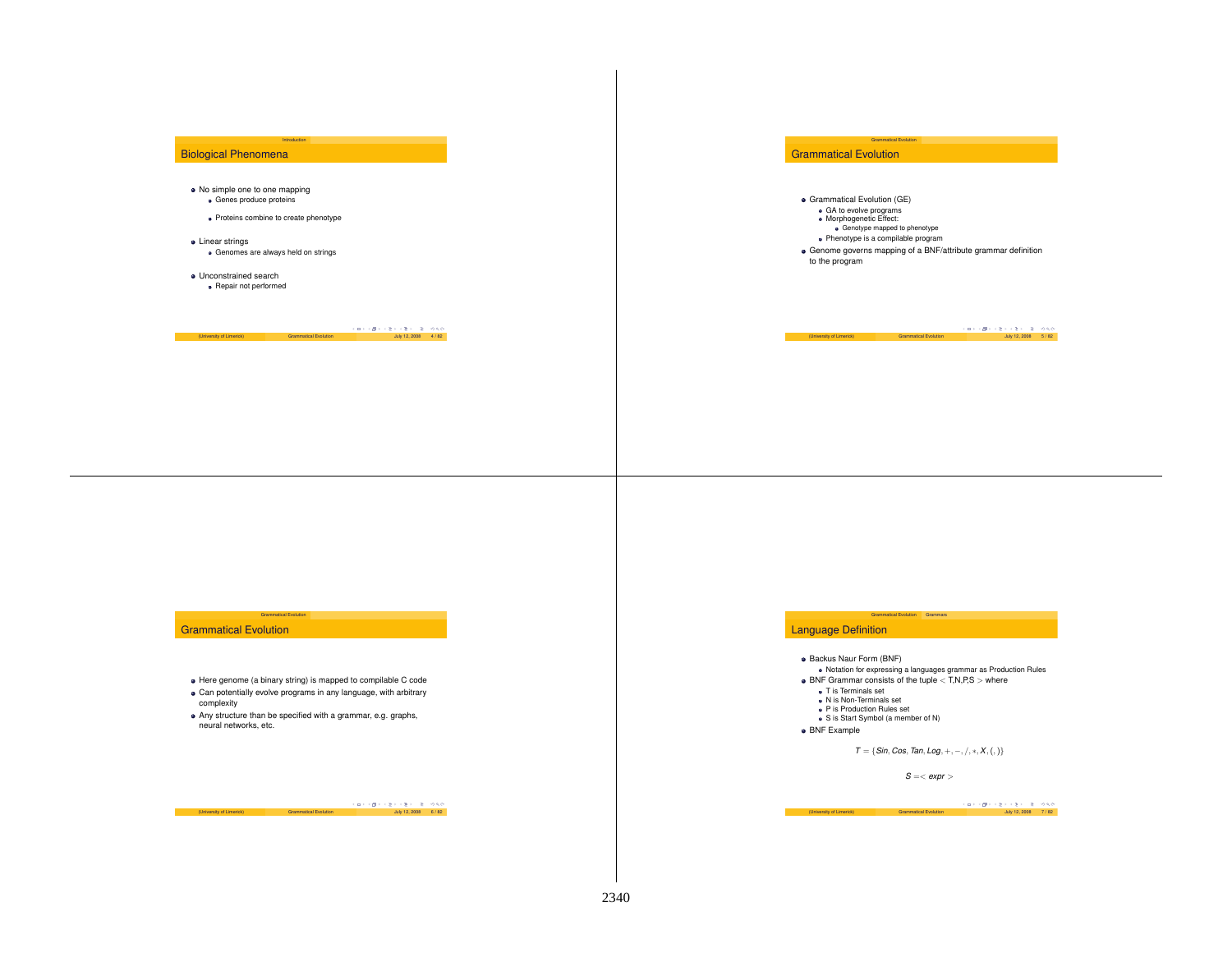## Biological Phenomena

- No simple one to one mapping Genes produce proteins
	- Proteins combine to create phenotype

Introduction

- **•** Linear strings Genomes are always held on strings
- Unconstrained searchRepair not performed

 $(10)$   $(2)$   $(3)$   $(4)$   $(5)$   $(6)$   $(7)$   $(8)$   $(8)$   $(18)$   $(12)$   $(2008)$   $(4)$   $(82)$ 

## Grammatical Evolution

- Grammatical Evolution (GE)
- GA to evolve programs Morphogenetic Effect:

г

Genotype mapped to phenotype

Grammatical Evolution

- Phenotype is <sup>a</sup> compilable program
- Genome governs mapping of <sup>a</sup> BNF/attribute grammar definition to the program

 $(University of Limited)$  Grammatical Evolution  $\overline{G} \rightarrow \overline{G} \rightarrow \overline{C} \rightarrow \overline{C} \rightarrow \overline{C} \rightarrow \overline{C}$  5 / 9,0,0

#### Grammatical Evolution

- Here genome (a binary string) is mapped to compilable C code Can potentially evolve programs in any language, with arbitrary
- complexity

**Grammatical Evolution** 

Any structure than be specified with <sup>a</sup> grammar, e.g. graphs, neural networks, etc.

بن (University of Limerick) (University of Limerick) Grammatical Evolution<br>Grammatical Evolution July 12, 2008 6 / 82, 82

## Language Definition

- **Backus Naur Form (BNF)**
- Notation for expressing <sup>a</sup> languages grammar as Production Rules  $\bullet$  BNF Grammar consists of the tuple  $\lt$  T,N,P,S  $>$  where

Grammatical Evolution Grammars

- 
- T is Terminals set N is Non-Terminals set
- P is Production Rules set
- S is Start Symbol (a member of N)
- **•** BNF Example

*T* <sup>=</sup> {*Sin*, *Cos*, *Tan*, *Log*, <sup>+</sup>, <sup>−</sup>, /, <sup>∗</sup>,*X*,(,)}

*S* <sup>=</sup>< *expr* >

 $(1)$  ( $\overline{C}$ ) ( $\overline{C}$ ) ( $\overline{C}$ ) ( $\overline{C}$ ) ( $\overline{C}$ )  $\overline{C}$ ) ( $\overline{C}$ )  $\overline{C}$ ) ( $\overline{C}$ ) ( $\overline{C}$ ) ( $\overline{C}$ ) ( $\overline{C}$ ) ( $\overline{C}$ ) ( $\overline{C}$ ) ( $\overline{C}$ ) ( $\overline{C}$ ) ( $\overline{C}$ ) ( $\overline{C}$ ) ( $\overline{C}$ ) ( $\overline{C}$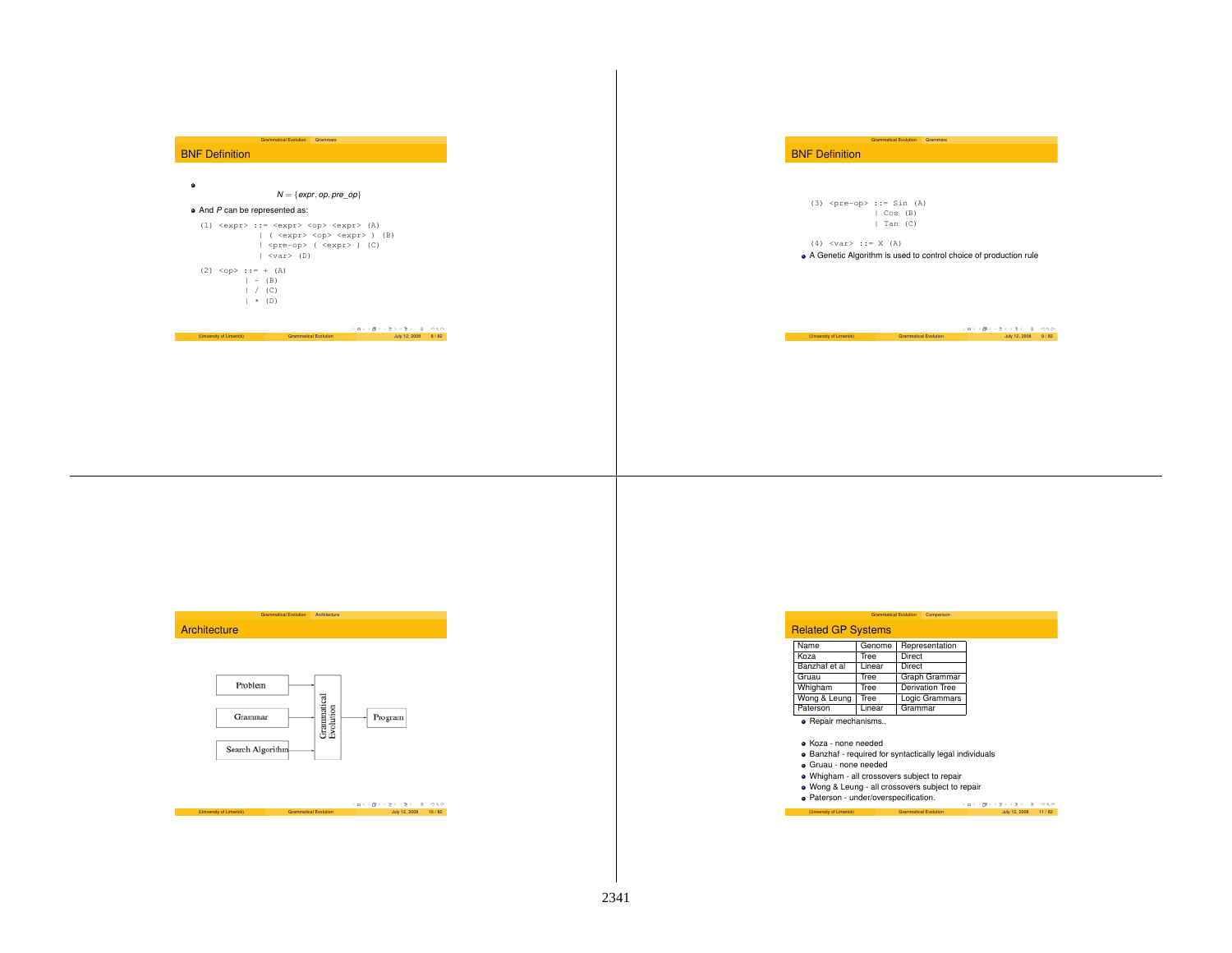| ٠<br>$N = \{expr, op, pre\_op\}$<br>$\bullet$ And P can be represented as:                                                                                                                                                                                                                                                                                                                                       |                                                                                                                                                                                                             |
|------------------------------------------------------------------------------------------------------------------------------------------------------------------------------------------------------------------------------------------------------------------------------------------------------------------------------------------------------------------------------------------------------------------|-------------------------------------------------------------------------------------------------------------------------------------------------------------------------------------------------------------|
| $(1)$ <expr> ::= <expr> <op> <expr> <math>(A)</math><br/>  ( <expr> <op> <expr> ) (B)<br/><math> \langle pre-op \rangle</math> (<math>\langle expr \rangle</math>) (C)<br/><math> </math> <var> <math>(D)</math><br/><math>(2)</math> <op> ::= + <math>(A)</math><br/><math>  - (B)</math><br/><math>\vert</math> / (C)<br/><math>\rightarrow</math> (D)</op></var></expr></op></expr></expr></op></expr></expr> | $(3)$ <pre-op> ::= Sin <math>(A)</math><br/>  Cos (B)<br/>  Tan (C)<br/><math>(4)</math> <var> ::= X <math>(A)</math><br/>• A Genetic Algorithm is used to control choice of production rule</var></pre-op> |
| メロティほう スミティミティ 生いのもの<br>(University of Limerick)<br><b>Grammatical Evolution</b><br>July 12, 2008 8 / 82                                                                                                                                                                                                                                                                                                         | スロッス使えるきょうきょうき つらび<br>(University of Limerick)<br><b>Grammatical Evolution</b><br>July 12, 2008 9 / 82                                                                                                      |





|                         |                       | イロトラ ほう イミトラミト ニミーのない |  |
|-------------------------|-----------------------|-----------------------|--|
| University of Limerick) | Grammatical Evolution | July 12, 2008 10 / 82 |  |

## Related GP Systems

| Name          | Genome | Representation         |
|---------------|--------|------------------------|
| Koza          | Tree   | Direct                 |
| Banzhaf et al | Linear | Direct                 |
| Gruau         | Tree   | Graph Grammar          |
| Whigham       | Tree   | <b>Derivation Tree</b> |
| Wong & Leung  | Tree   | Logic Grammars         |
| Paterson      | Linear | Grammar                |

· Repair mechanisms..

Koza - none needed

Banzhaf - required for syntactically legal individuals

- Gruau none needed
- Whigham all crossovers subject to repair
- 

Wong & Leung - all crossovers subject to repair Paterson - under/overspecification. **Paterson - under/overspecification.**<br>
(University of Limerick) Grammatical Evolution July 12, 2008 11 / 82

Grammatical Evolution Comparison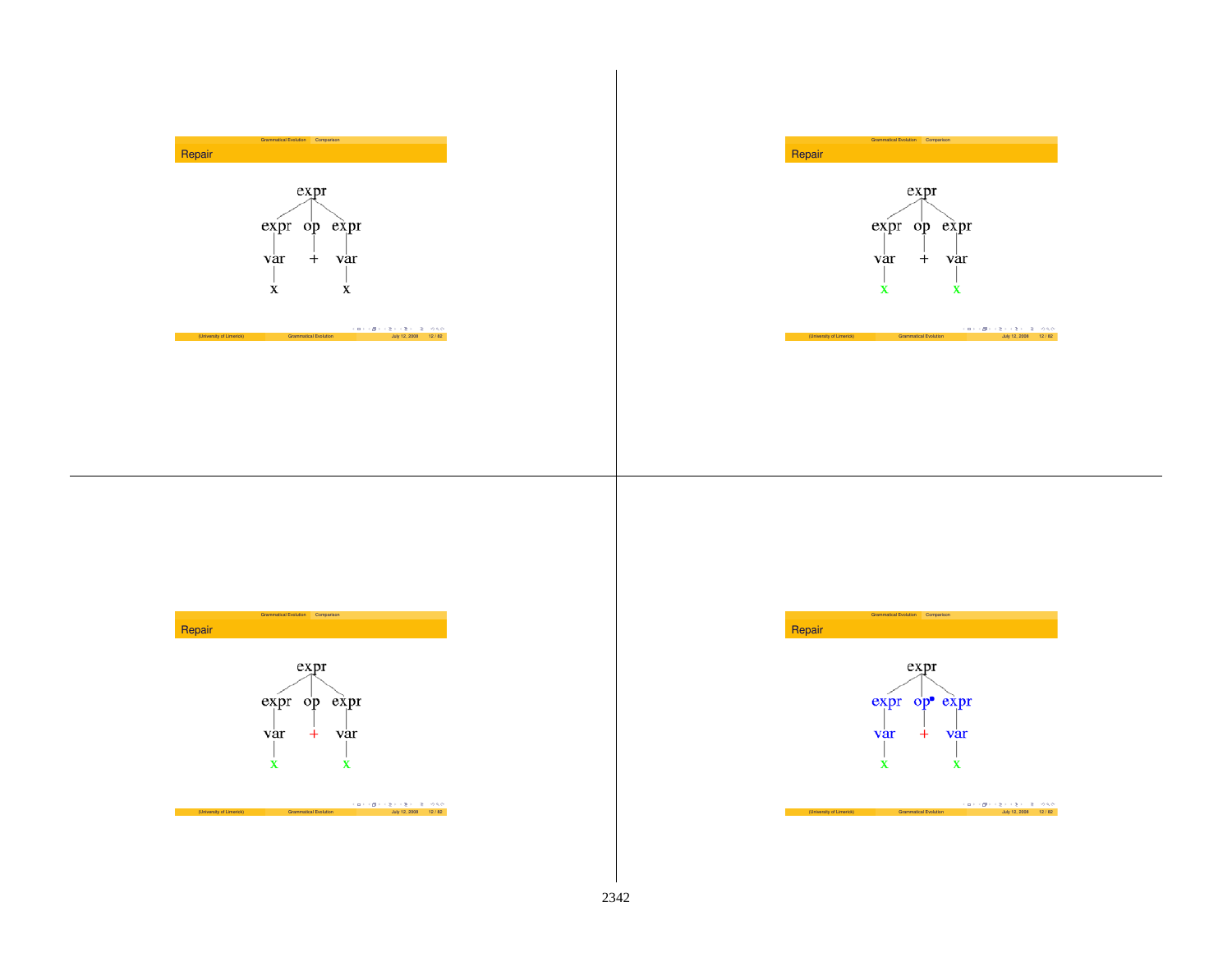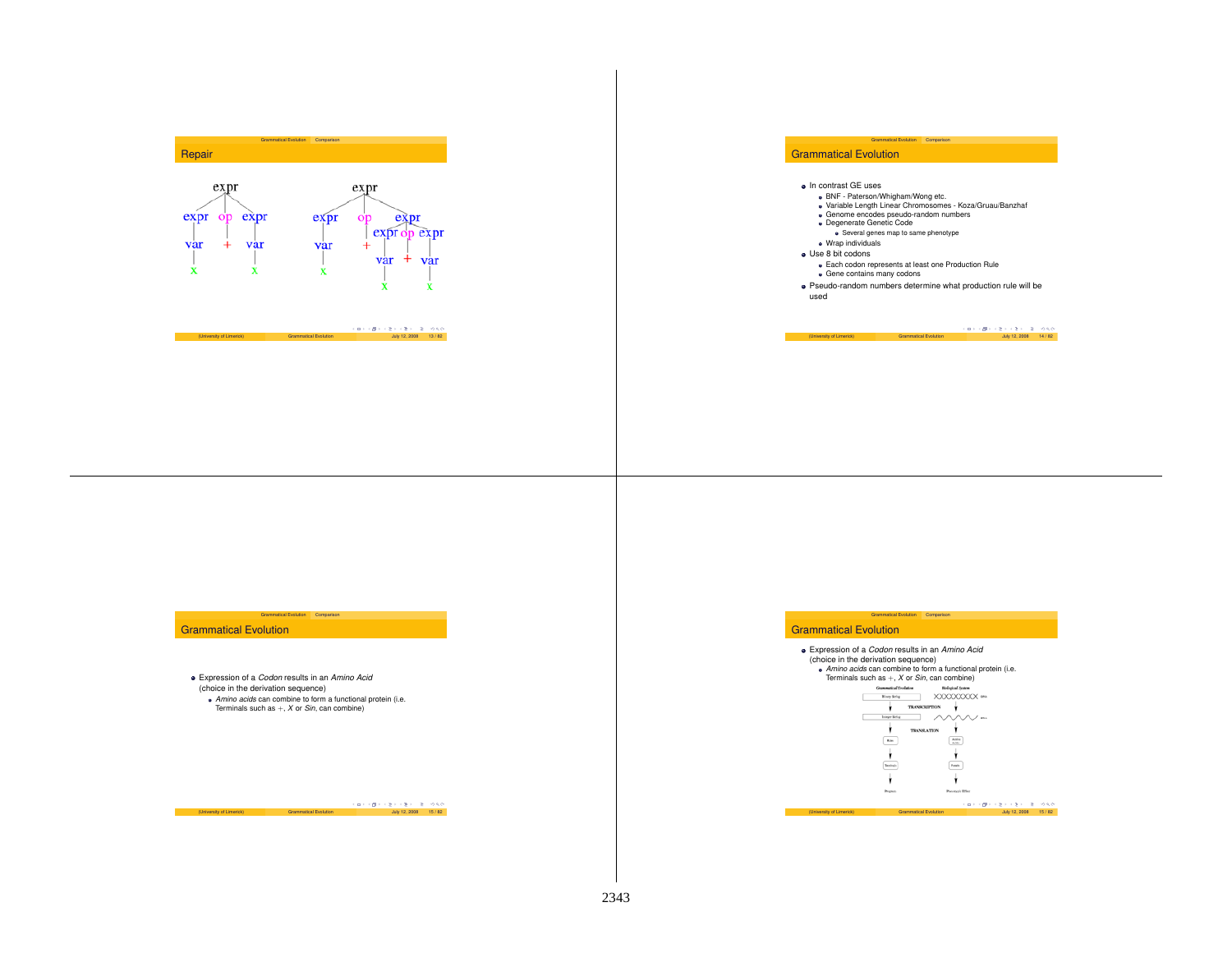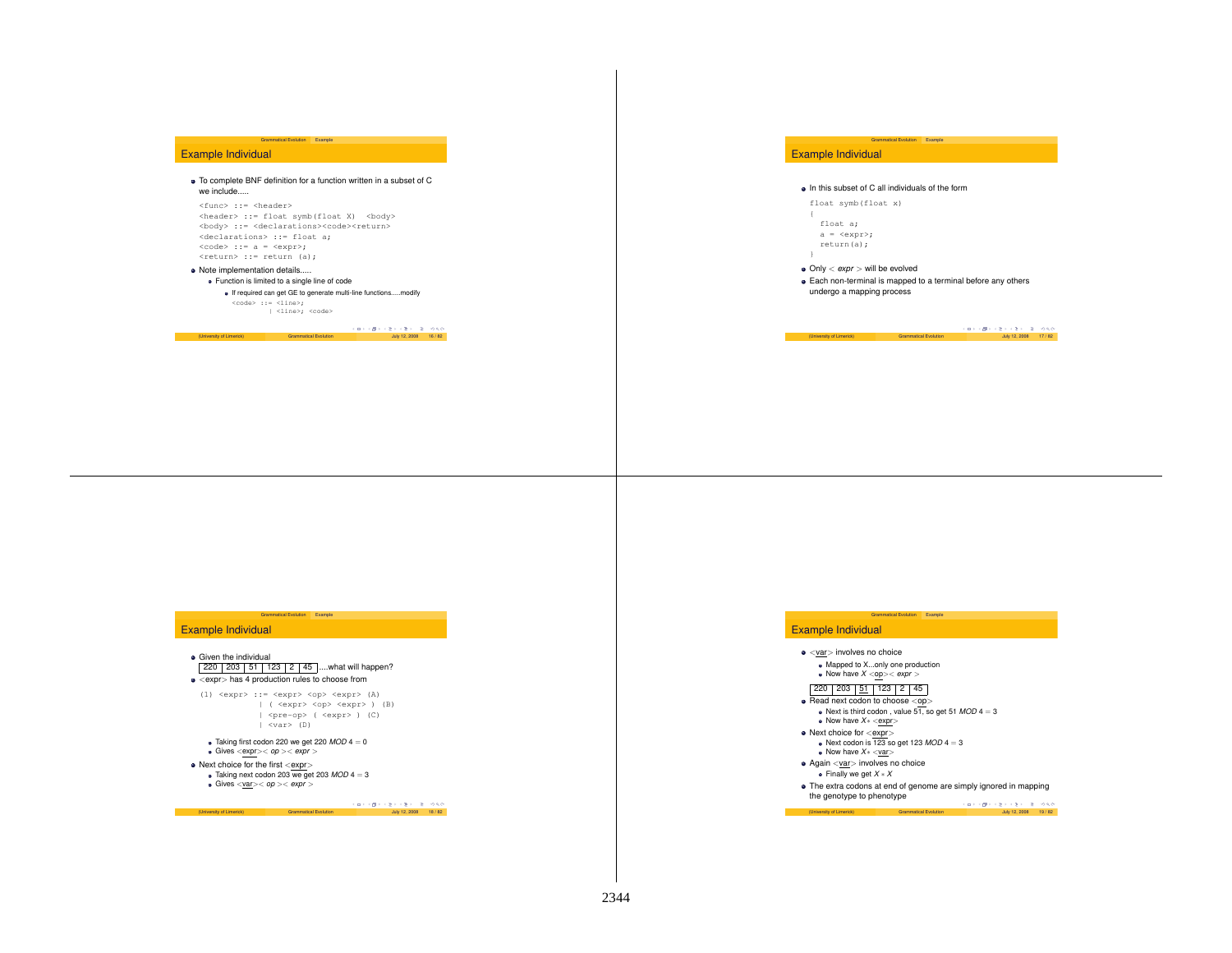## Example Individual

To complete BNF definition for <sup>a</sup> function written in <sup>a</sup> subset of C we include.....

Example

<func> ::= <header> <header> ::= float symb(float X) <body> <body> ::= <declarations><code><return> <declarations> ::= float a;  $<$ code> ::= a =  $<$ expr>; <return> ::= return (a);

Grammatical Evolution

• Note implementation details..... Function is limited to <sup>a</sup> single line of code

If required can get GE to generate multi-line functions.....modify code> ::= <line>;<br>| <line>; <code>

# $(1 - \frac{1}{2}) + \frac{1}{2} + \frac{1}{2} = \frac{1}{2}$ <br>
(University of Limerick) Grammatical Evolution July 12, 2008 16 / 82

## Example Individual

### • In this subset of C all individuals of the form

Grammatical Evolution

Example

float symb(float x)

float a; <sup>a</sup> <sup>=</sup> <expr>; return(a);

Only <sup>&</sup>lt; *expr* <sup>&</sup>gt; will be evolved

Each non-terminal is mapped to <sup>a</sup> terminal before any others undergo <sup>a</sup> mapping process

(University of Limerick) Grammatical Evolution July 12, 2008 17 / 82

## Example Individual

## **•** Given the individual  $220 | 203 | 51 | 123 | 2 | 45$  ....what will happen?

Grammatical Evolution Example

 $\bullet$  <expr> has 4 production rules to choose from

(1)  $\langle \text{expr} \rangle$  ::=  $\langle \text{expr} \rangle$   $\langle \text{opp} \rangle$   $\langle \text{expr} \rangle$  (A) | ( <expr> <op> <expr> ) (B) | <pre-op> ( <expr> ) (C)  $|$  <var> (D)

 $\bullet$  Taking first codon 220 we get 220  $MOD$  4 = 0 Gives <expr>< *op* >< *expr* >

Next choice for the first <expr><br>  $\bullet$  Taking next codon 203 we get 203 *MOD* 4 = 3<br> **•** Gives <<u>var</u>>< *op* >< *expr* >

 $(U \cap V) \cup U \cap V \subseteq V \cup V \subseteq V \cup V \subseteq V \cup V$ Grammatical Evolution July 12, 2008 18 / 82

## Example Individual

<var> involves no choice Mapped to X...only one production Now have *X* <op>< *expr* >

#### 220 203 51 123 2 45

- 
- Read next codon to choose <op><br>Next is third codon , value 51, so get 51 *MOD* 4 = 3 Now have *X*<sup>∗</sup> <sup>&</sup>lt;expr<sup>&</sup>gt;

Grammatical Evolution Example

- Next choice for <expr> Next codon is 123 so get 123 *MOD* 4 <sup>=</sup> 3
- Now have *X*<sup>∗</sup> <sup>&</sup>lt;var<sup>&</sup>gt;Again <var> involves no choice
- Finally we get *X* <sup>∗</sup> *X*
- The extra codons at end of genome are simply ignored in mapping the genotype to phenotype

(University of Limeratical Evolution July 2008 12, 2009 19 / 9 / 82, 2009 19 / 9 / 9 / 9 / 9 / 9 / 9 / 9 / 9 /<br>| Grammatical Evolution July 12, 2008 19 / 82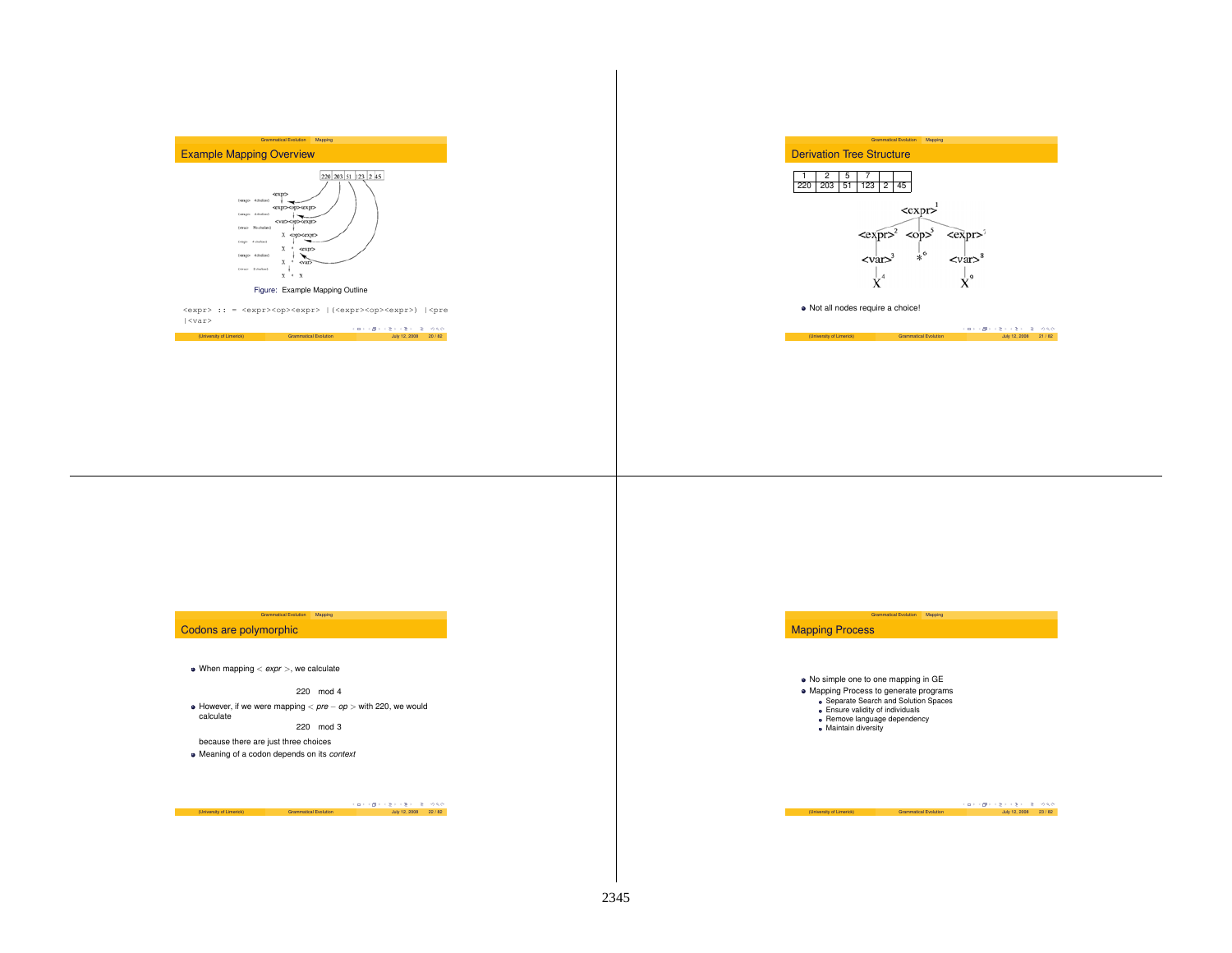



Grammatical Evolution Mapping

#### Figure: Example Mapping Outline

<expr> :: = <expr><op><expr> |(<expr><op><expr>) |<pre  $|\langle var \rangle$ 







Not all nodes require <sup>a</sup> choice!

(University of Limerick) Grammatical Evolution  $\frac{1}{2}$  (  $\frac{1}{2}$  /  $\frac{1}{2}$  /  $\frac{1}{2}$  /  $\frac{1}{2}$  /  $\frac{1}{2}$  /  $\frac{1}{2}$  /  $\frac{1}{2}$  /  $\frac{1}{2}$  /  $\frac{1}{2}$  /  $\frac{1}{2}$  /  $\frac{1}{2}$  /  $\frac{1}{2}$  /  $\frac{1}{2}$  /  $\frac{1}{$ 

## Codons are polymorphic

When mapping <sup>&</sup>lt; *expr* <sup>&</sup>gt;, we calculate

220 mod 4 However, if we were mapping <sup>&</sup>lt; *pre* <sup>−</sup> *op* <sup>&</sup>gt; with 220, we would calculate 220 mod 3

Grammatical Evolution Mapping

because there are just three choices Meaning of <sup>a</sup> codon depends on its *context*

 $(1 - \epsilon \sqrt{2}) + \epsilon \sqrt{2} \rightarrow \epsilon \sqrt{2}$  (University of Limerick) Grammatical Evolution July 12, 2008 22 / 82



No simple one to one mapping in GE Mapping Process to generate programs Separate Search and Solution Spaces • Ensure validity of individuals Remove language dependency Maintain diversity

Grammatical Evolution Mapping

(University of Limerick) Grammatical Evolution  $\overline{G} \rightarrow \overline{G} \rightarrow \overline{G} \rightarrow \overline{R} \rightarrow \overline{Q} \rightarrow Q \overline{Q}$ <br>(University of Limerick) Grammatical Evolution July 12, 2008 23 / 82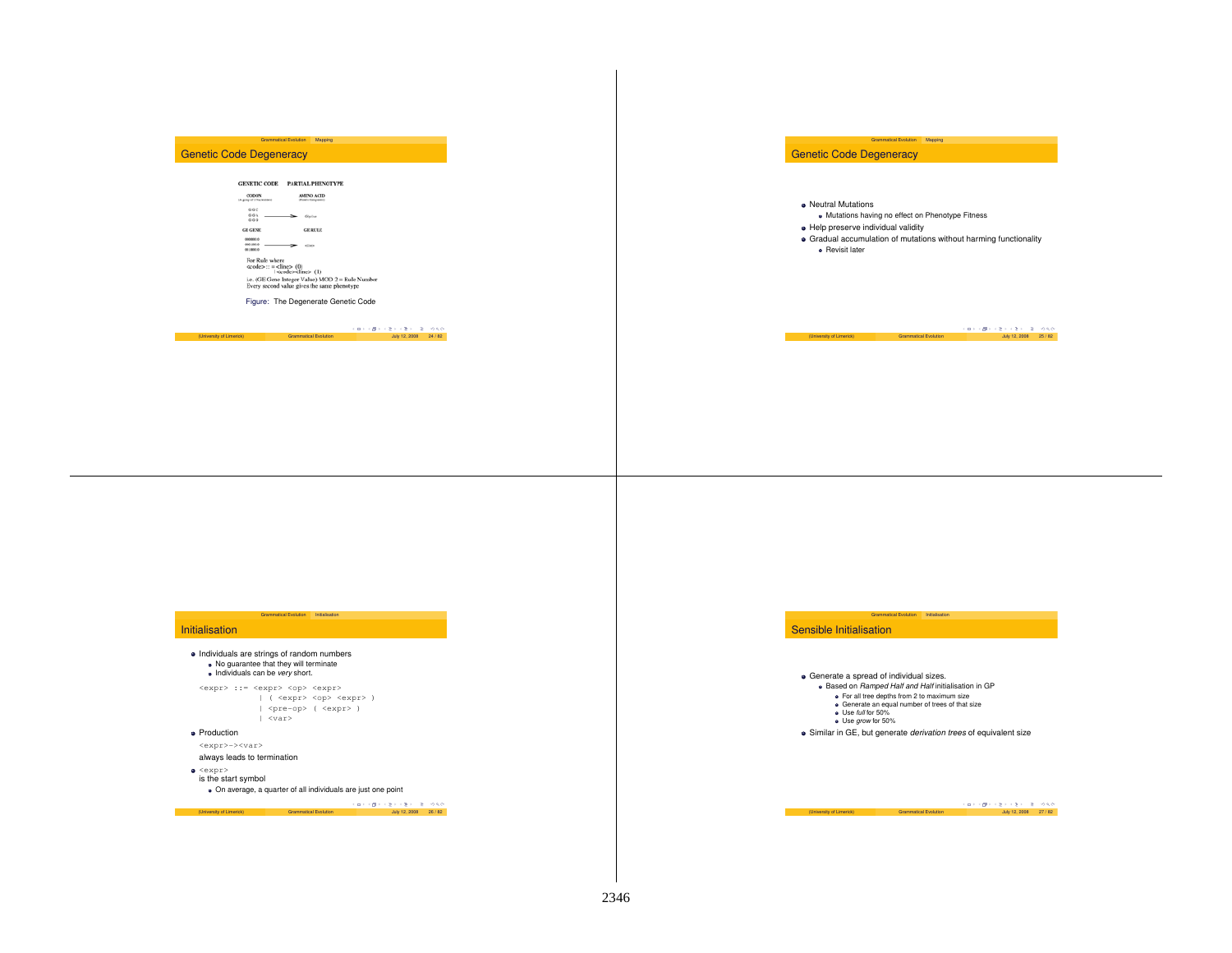## Genetic Code Degeneracy

## $\texttt{GENETIC}\ \texttt{CODE}$  PARTIAL PHENOTYPE CODON<br>Warmer of UNiversity of **AMENO ACID**<br>Floris Corporati  $\begin{array}{ccc} 66\,C & & & \\ 6\,9\,\Lambda & & & \\ 6\,9\,0 & & & \end{array} \qquad \qquad \bullet \qquad \bullet \quad \bullet \quad \bullet \quad \bullet$  $\mathbf{GE}$  RULE GE GENE  $\begin{picture}(150,10) \put(0,0){\dashbox{0.5}(10,0){ }} \put(15,0){\circle{10}} \put(15,0){\circle{10}} \put(15,0){\circle{10}} \put(15,0){\circle{10}} \put(15,0){\circle{10}} \put(15,0){\circle{10}} \put(15,0){\circle{10}} \put(15,0){\circle{10}} \put(15,0){\circle{10}} \put(15,0){\circle{10}} \put(15,0){\circle{10}} \put(15,0){\circle{10}} \put(15,0){\circle{10}} \put(15$ For Rule where<br>  $\text{ccode}$ :  $=$  <lines<br>  $(0)$ <br>  $=$  ( $\text{J}$ )<br>
i.e. (GE Gene Integer Value) MOD 2 = Rule Number<br>
Every second value gives the same phenotype

Grammatical Evolution Mapping

Figure: The Degenerate Genetic Code

# (University of Limerick) Grammatical Evolution  $\frac{1}{2}$  (  $\frac{1}{2}$  /  $\frac{1}{2}$  /  $\frac{1}{2}$  /  $\frac{1}{2}$  / 92 / 82

Genetic Code Degeneracy

• Neutral Mutations

- Mutations having no effect on Phenotype Fitness
- Help preserve individual validity
- Gradual accumulation of mutations without harming functionality **e** Revisit later

Grammatical Evolution Mapping

(University of Limerick) Grammatical Evolution  $\cos \theta \to \cos \theta \to \cos 2\theta$  / 9. 26 / 82

## Initialisation

Individuals are strings of random numbers No guarantee that they will terminate Individuals can be *very* short.  $\langle \texttt{expr} \rangle$  ::=  $\langle \texttt{expr} \rangle$   $\langle \texttt{opp} \rangle$   $\langle \texttt{expr} \rangle$ 

| ( <expr> <op> <expr> ) | <pre-op> ( <expr> )  $|$   $<$ var $>$ 

Grammatical Evolution Initialisation

Production

<expr>-><var>

always leads to termination

<expr> is the start symbol

On average, <sup>a</sup> quarter of all individuals are just one point

 $(10)$   $(3)$   $(4)$   $(5)$   $(5)$   $(6)$   $(7)$   $(8)$   $(8)$   $(10)$   $(10)$   $(2008)$   $26/82$ 



Generate <sup>a</sup> spread of individual sizes. Based on *Ramped Half and Half* initialisation in GP

- For all tree depths from 2 to maximum size Generate an equal number of trees of that size Use *full* for 50% Use *grow* for 50%
- 

Similar in GE, but generate *derivation trees* of equivalent size

Grammatical Evolution Initialisation

(University of Limerick) Grammatical Evolution  $\frac{1}{2}$  (University of Limerick) Grammatical Evolution July 12, 2008 27 / 82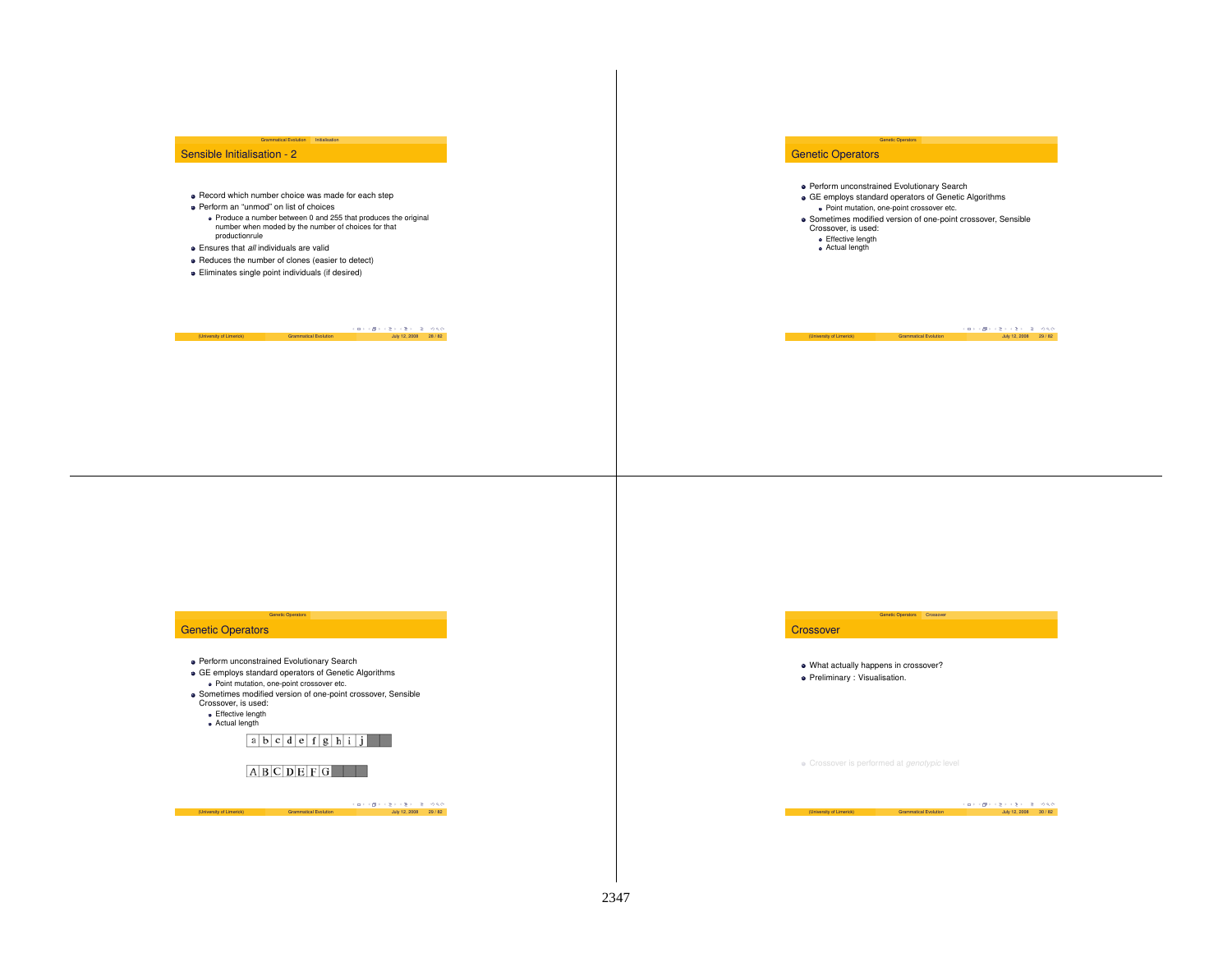## Sensible Initialisation - 2

**•** Record which number choice was made for each step

Grammatical Evolution

- Perform an "unmod" on list of choices
	- Produce <sup>a</sup> number between 0 and 255 that produces the original number when moded by the number of choices for that productionrule

Initialisation

- Ensures that *all* individuals are valid
- Reduces the number of clones (easier to detect)
- Eliminates single point individuals (if desired)

 $(10 - \sqrt{2}) + \sqrt{2} + \sqrt{2} = \sqrt{2}$  (University of Limerick) Grammatical Evolution July 12, 2008 28 / 82

## Genetic Operators

- **Perform unconstrained Evolutionary Search**
- GE employs standard operators of Genetic Algorithms

Genetic Operators

- Point mutation, one-point crossover etc.
- Sometimes modified version of one-point crossover, Sensible Crossover, is used:
	- **e** Effective length
	- Actual length

(University of Limerick) Grammatical Evolution  $\begin{array}{c} \text{(} \Box \rightarrow \Box \rightarrow \Box \rightarrow \Box \rightarrow \Box \rightarrow \Box \Diamond \bigtriangleup \lor \Box \Diamond \bigtriangleup \land \Box \Box \bigtriangleup \land \Box \bigtriangleup \land \Box \bigtriangleup \land \Box \bigtriangleup \land \Box \bigtriangleup \land \Box \bigtriangleup \land \Box \bigtriangleup \land \Box \bigtriangleup \land \Box \bigtriangleup \land \Box \bigtriangleup \land \Box \bigtriangleup \land \Box \bigtriangleup \land \Box \bigtriangleup \land \Box \bigtriangleup \land \Box \bigtriangleup \land$ 

## Genetic Operators

Perform unconstrained Evolutionary Search

Genetic Operators

- GE employs standard operators of Genetic Algorithms
- Point mutation, one-point crossover etc.
- Sometimes modified version of one-point crossover, Sensible Crossover, is used:
- **·** Effective length
- Actual length

 $a|b|c|d|e|f|g|h|i|j$ 

 $A$   $B$   $C$   $D$   $E$   $F$   $G$ 

 $(1 - \sqrt{2}) + \sqrt{2} + \sqrt{2} = \sqrt{2} + \sqrt{2}$ <br>
Grammatical Evolution July 12, 2008 29 / 82

#### **Crossover**

What actually happens in crossover?

Genetic Operators Crossover

Preliminary : Visualisation.

Crossover is performed at *genotypic* level

(University of Limerick) Grammatical Evolution (Disk of Elisabeth 2008 30 / 82<br>- July 12, 2008 30 / 82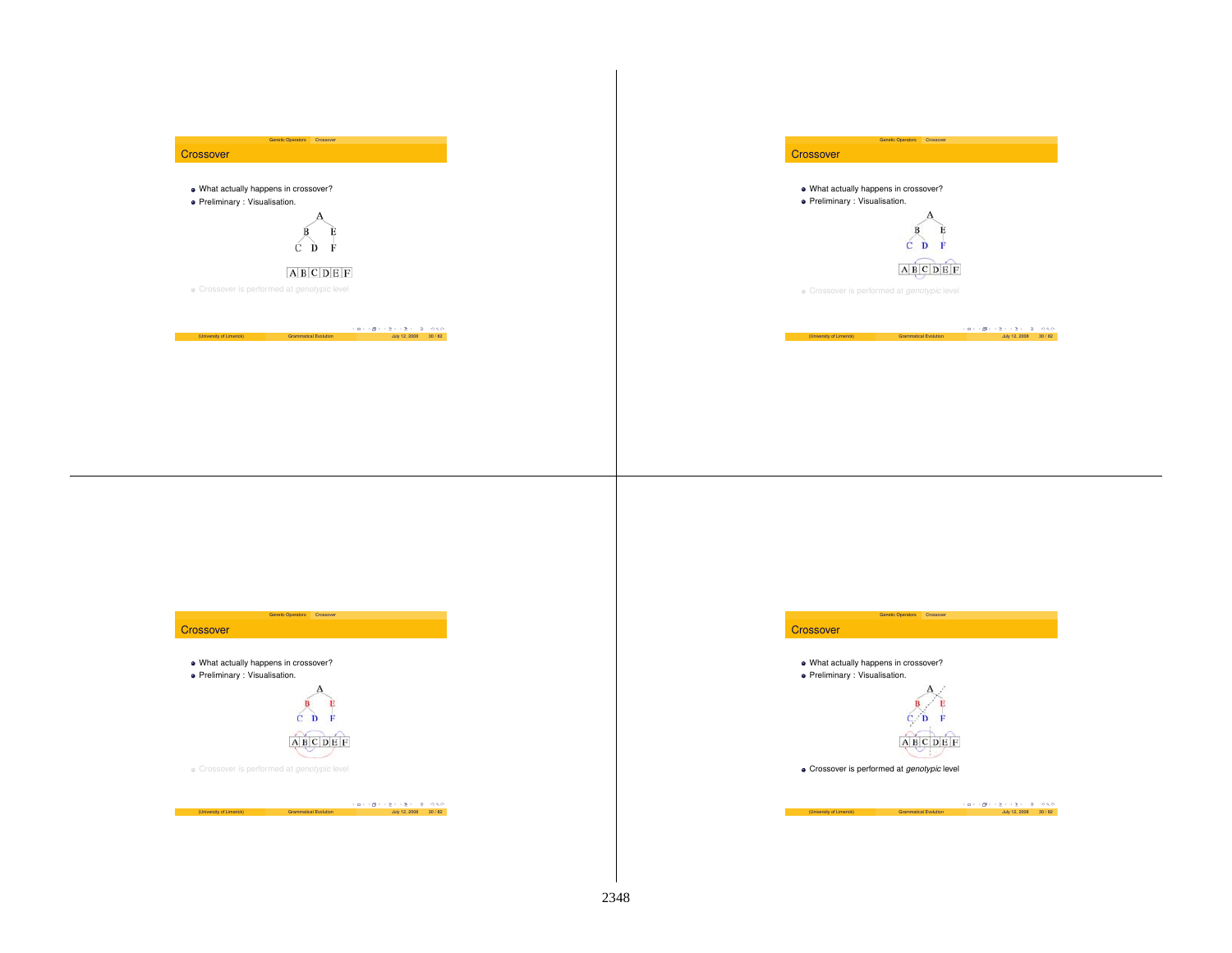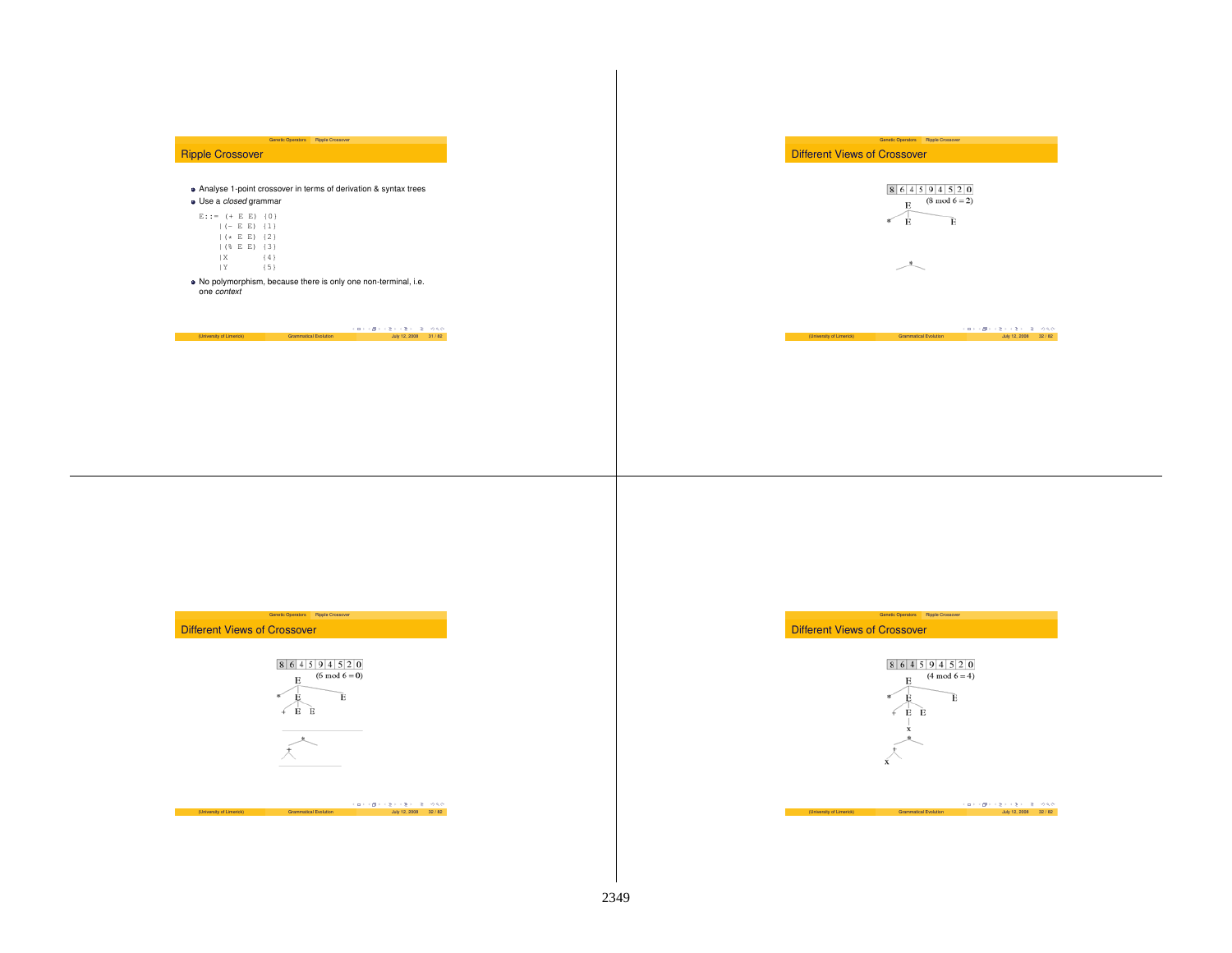## Ripple Crossover

Analyse 1-point crossover in terms of derivation & syntax trees Use a *closed* grammar

Genetic Operators Ripple Crossover

# $E:$ :

| ::= (+ E E) +0} |    |  |                               |
|-----------------|----|--|-------------------------------|
|                 |    |  | $  (- E E)$ ${1}$             |
|                 |    |  | $($ $($ $\star$ E E i $\{2\}$ |
|                 |    |  |                               |
|                 | 1X |  | ${4}$                         |
|                 | ΙY |  | ${5}$                         |

No polymorphism, because there is only one non-terminal, i.e. one *context*

 $(University of Limerick)$  Grammatical Evolution  $(University of Limerick)$  Grammatical Evolution July 12, 2008 31 / 82

Different Views of Crossover



Genetic Operators Ripple Crossover

 $\begin{picture}(220,20) \put(0,0){\dashbox{0.5}(5,0){ }} \thicklines \put(0,0){\dashbox{0.5}(5,0){ }} \thicklines \put(0,0){\dashbox{0.5}(5,0){ }} \thicklines \put(0,0){\dashbox{0.5}(5,0){ }} \thicklines \put(0,0){\dashbox{0.5}(5,0){ }} \thicklines \put(0,0){\dashbox{0.5}(5,0){ }} \thicklines \put(0,0){\dashbox{0.5}(5,0){ }} \thicklines \put(0,0){\dashbox{0.5}(5,0){ }} \thicklines \put(0,0){\dashbox{0.5}(5$ 

(University of Limerick) Grammatical Evolution  $\frac{1}{2}$   $\frac{1}{2}$   $\frac{1}{2}$   $\frac{1}{2}$   $\frac{1}{2}$   $\frac{1}{2}$   $\frac{1}{2}$   $\frac{1}{2}$   $\frac{1}{2}$   $\frac{1}{2}$   $\frac{1}{2}$   $\frac{1}{2}$   $\frac{1}{2}$   $\frac{1}{2}$   $\frac{1}{2}$   $\frac{1}{2}$   $\frac{1}{2}$   $\frac{$ 



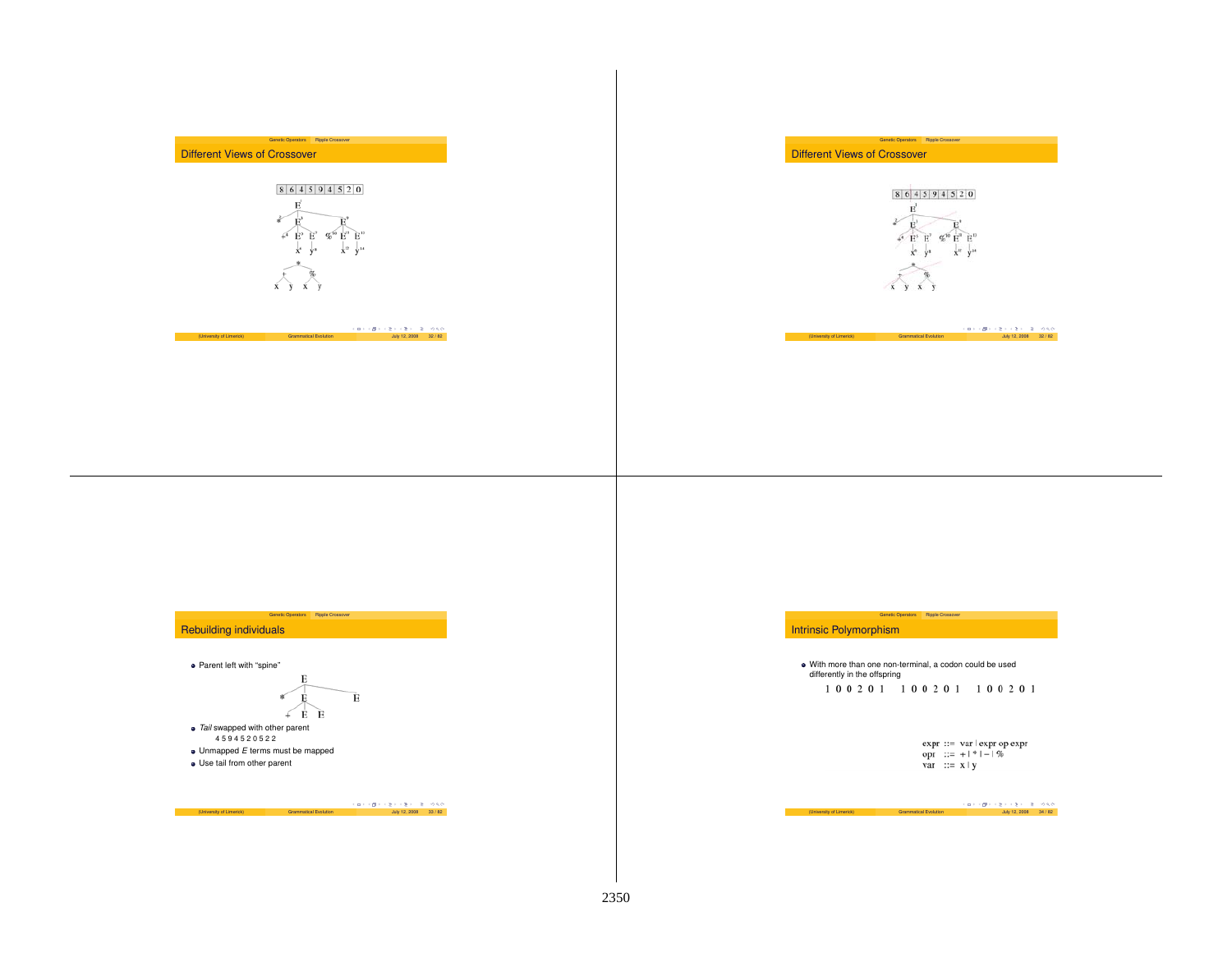



Genetic Operators Ripple Crossover

# (University of Limerick)  $\begin{array}{l} \text{(D)} \quad \text{(D)} \quad \text{(E)} \quad \text{(E)} \quad \text{(E)} \quad \text{(E)} \quad \text{(E)} \quad \text{(E)} \quad \text{(E)} \quad \text{(E)} \quad \text{(E)} \quad \text{(E)} \quad \text{(E)} \quad \text{(E)} \quad \text{(E)} \quad \text{(E)} \quad \text{(E)} \quad \text{(E)} \quad \text{(E)} \quad \text{(E)} \quad \text{(E)} \quad \text{(E)} \quad \text{(E)} \quad \text{(E)} \quad \text{(E)} \quad \text{(E)} \quad \text{(E)} \$

Genetic Operators Ripple Crossover Different Views of Crossover



(University of Limerick) Grammatical Evolution  $\frac{1}{2}$   $\frac{1}{2}$   $\frac{1}{2}$   $\frac{1}{2}$   $\frac{1}{2}$   $\frac{1}{2}$   $\frac{1}{2}$   $\frac{1}{2}$   $\frac{1}{2}$   $\frac{1}{2}$   $\frac{1}{2}$   $\frac{1}{2}$   $\frac{1}{2}$   $\frac{1}{2}$   $\frac{1}{2}$   $\frac{1}{2}$   $\frac{1}{2}$   $\frac{$ 

## Rebuilding individuals

• Parent left with "spine"

$$
\begin{array}{c}\nE \\
E \\
E\n\end{array}
$$

Genetic Operators Ripple Crossover

*Tail* swapped with other parent 4594520522 Unmapped *E* terms must be mapped Use tail from other parent

 $(10)$  (  $\mathbb{Z} \times \mathbb{Z} \times \mathbb{Z}$  )  $\mathbb{Z} \times \mathbb{Z}$  )  $\mathbb{Z} \times \mathbb{Z}$  (University of Limerick)  $\mathbb{Z}$  (Drammatical Evolution  $\mathbb{Z} \times \mathbb{Z}$  )  $\mathbb{Z} \times \mathbb{Z}$  (Drammatical Evolution  $\mathbb{Z} \times \mathbb{Z}$  )  $\mathbb{Z} \times \mathbb{$ 

## Intrinsic Polymorphism

With more than one non-terminal, <sup>a</sup> codon could be used differently in the offspring<br>  $1 \t0 \t0 \t2 \t0 \t1 \t1 \t0 \t0 \t2 \t0 \t1 \t1 \t0 \t0 \t2 \t0 \t1$ 

Genetic Operators Ripple Crossover

expr ::= var | expr op expr<br>
opr ::= + | \* | - | %<br>
var ::= x | y

 $(University of Linerick)$  Grammatical Evolution  $\overline{G} \rightarrow (B \rightarrow (B \rightarrow (B \rightarrow 2) \rightarrow Q)Q$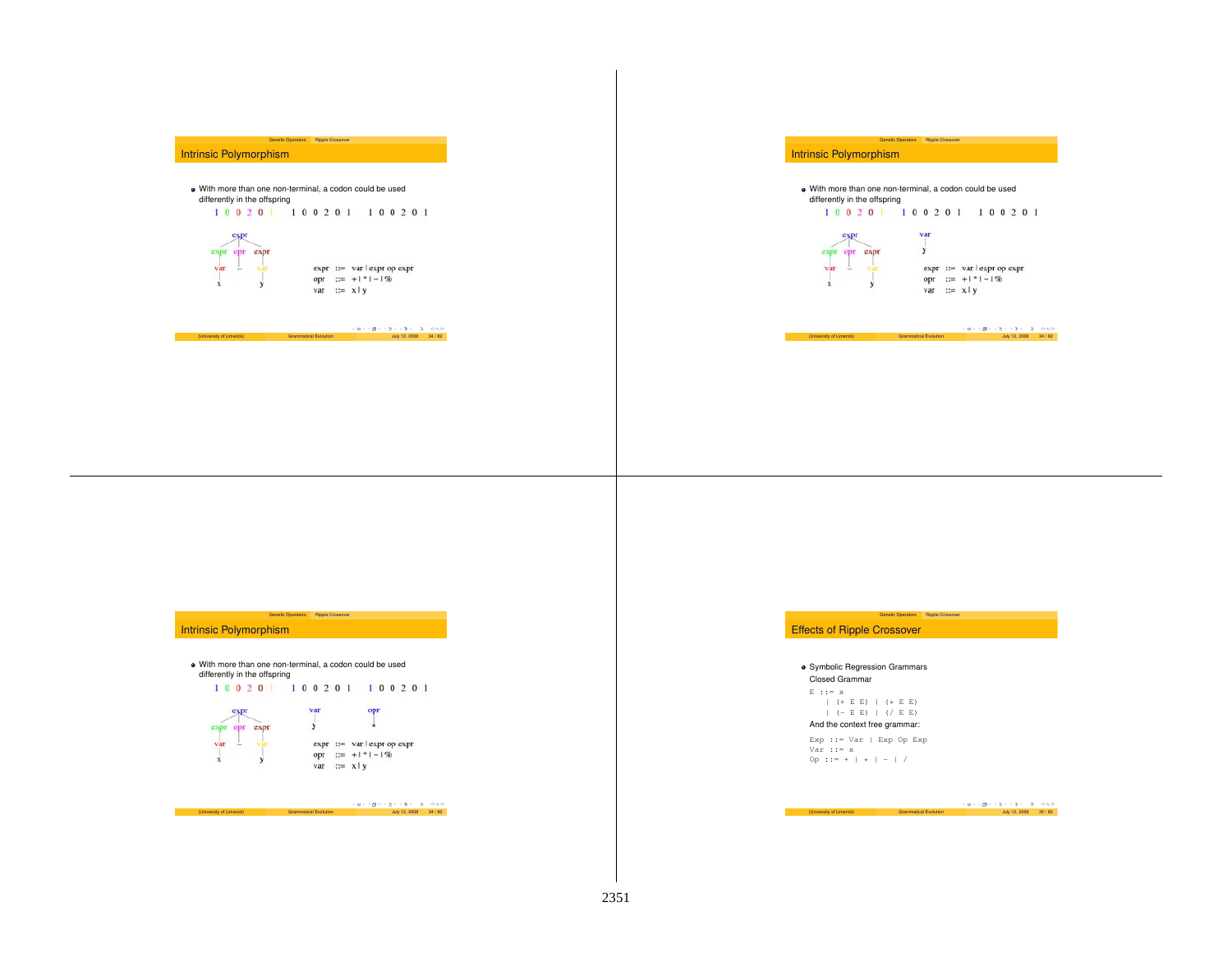# Genetic Operators Ripple Crossover Intrinsic Polymorphism With more than one non-terminal, <sup>a</sup> codon could be used differently in the offspring 100201 100201 100201 expr  $expr ::= var | expr op expr$ opr ::=  $+1$  \*  $1 - 1$  %  $var := x \mid y$

(University of Limerick) Grammatical Evolution  $\cos \theta + \cos \theta + \cos 2\theta + 2$  July 12, 2008 34 / 82

## Intrinsic Polymorphism



Genetic Operators Ripple Crossover



(University of Limerick) Grammatical Evolution  $\frac{1}{2}$   $\frac{1}{2}$   $\frac{1}{2}$   $\frac{1}{2}$   $\frac{1}{2}$   $\frac{1}{2}$   $\frac{1}{2}$   $\frac{1}{2}$   $\frac{1}{2}$   $\frac{1}{2}$   $\frac{1}{2}$   $\frac{1}{2}$   $\frac{1}{2}$   $\frac{1}{2}$   $\frac{1}{2}$   $\frac{1}{2}$   $\frac{1}{2}$   $\frac{$ 

## Genetic Operators Ripple Crossover Intrinsic Polymorphism



# Genetic Operators Ripple Crossover Effects of Ripple Crossover **• Symbolic Regression Grammars** Closed Grammar $\mathbf{E}$  ::=  $\mathbf{x}$ | (+ E E) | (\* <sup>E</sup> E)

#### $| (-E E) | ( / E E)$ And the context free grammar:

Exp ::= Var | Exp Op Exp Var ::= xOp ::= +  $| * | - | /$ 

 $(University of Limerick)$  Grammatical Evolution  $\frac{1}{2}$  July 12, 2008 35 / 82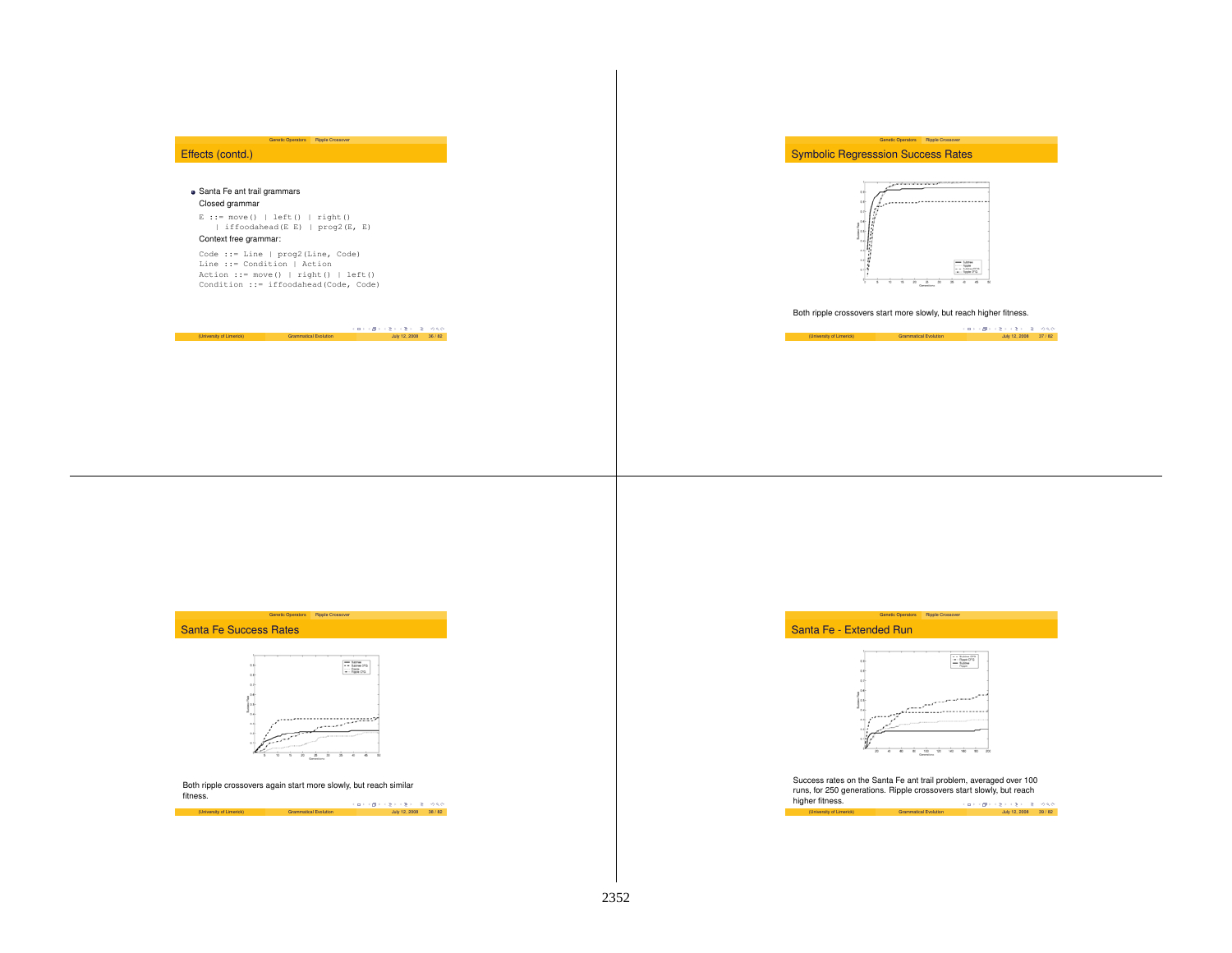## Effects (contd.)

#### Santa Fe ant trail grammars Closed grammar

<sup>E</sup> ::= move() | left() | right() | iffoodahead(E E) | prog2(E, E)

Genetic Operators Ripple Crossover

## Context free grammar:

Code ::= Line | prog2(Line, Code) Line ::= Condition | Action Action ::= move() | right() | left() Condition ::= iffoodahead(Code, Code)

 $(L) \rightarrow (B) \rightarrow (\frac{B}{C}) \rightarrow (\frac{B}{C}) \rightarrow (\frac{B}{C}) \rightarrow (\frac{B}{C})$  (University of Limerick) Grammatical Evolution July 12, 2008 36 / 82

## Symbolic Regresssion Success Rates



Genetic Operators Ripple Crossover

Both ripple crossovers start more slowly, but reach higher fitness.

 $(University of Limerick)$  (Proposes) Grammatical Evolution July 12, 2008 37 / 82

# Santa Fe Success Rates



Genetic Operators Ripple Crossover

Both ripple crossovers again start more slowly, but reach similar fitness.





Success rates on the Santa Fe ant trail problem, averaged over 100 runs, for 250 generations. Ripple crossovers start slowly, but reach higher fitness. er fitness.<br>(University of Limerick) Grammatical Evolution July 12, 2008 39/82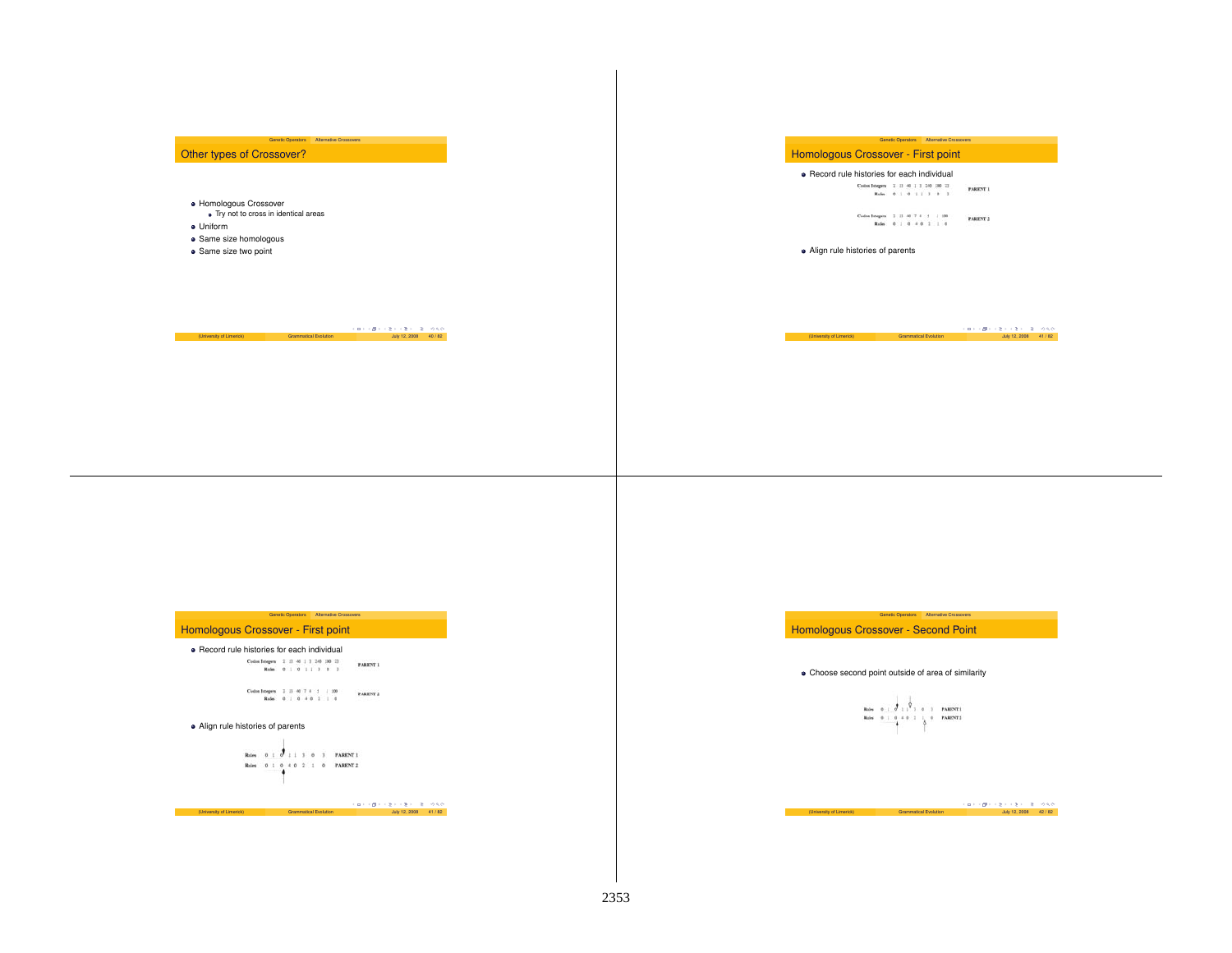## Other types of Crossover?

Genetic Operators Alternative Crossovers

#### Homologous Crossover

- Try not to cross in identical areas
- Uniform
- Same size homologous
- **·** Same size two point

# (University of Limerick) Grammatical Evolution  $\frac{1}{2}$  (  $\frac{1}{2}$  +  $\frac{1}{2}$  +  $\frac{1}{2}$  +  $\frac{1}{2}$  +  $\frac{1}{2}$  +  $\frac{1}{2}$  +  $\frac{1}{2}$  +  $\frac{1}{2}$  +  $\frac{1}{2}$  +  $\frac{1}{2}$  +  $\frac{1}{2}$  +  $\frac{1}{2}$  +  $\frac{1}{2}$  +  $\frac{1}{$

## **Genetic Operators Alternative Crossovers** Homologous Crossover - First point

**•** Record rule histories for each individual 

 ${\bf C}{\bf d}{\bf u} \, {\bf Ineqens} \quad {\bf 3} \, \, {\bf 13} \, \, {\bf 40} \, \, {\bf 7} \, \, {\bf 4} \, \, {\bf 3} \, \, {\bf 1} \, \, {\bf 100} \qquad \qquad {\bf 7 A RINT3}$ 

Align rule histories of parents

 $\begin{array}{lcl} \text{(University of Linerich)} \qquad \qquad & \text{Gamma:} & \text{Gamma:} & \text{Gamma:} & \text{P:} & \text{P:} & \text{P:} & \text{P:} & \text{P:} & \text{P:} & \text{P:} & \text{P:} & \text{P:} & \text{P:} & \text{P:} & \text{P:} & \text{P:} & \text{P:} & \text{P:} & \text{P:} & \text{P:} & \text{P:} & \text{P:} & \text{P:} & \text{P:} & \text{P:} & \text{P:} & \text{P:} & \text{P:} &$ 

|                                               | <b>Genetic Operators</b> | <b>Alternative Crossovers</b>         |                                         |       |
|-----------------------------------------------|--------------------------|---------------------------------------|-----------------------------------------|-------|
| Homologous Crossover - First point            |                          |                                       |                                         |       |
| • Record rule histories for each individual   |                          |                                       |                                         |       |
| Codos Isogers<br><b>Holes</b>                 | 0 1 1 3                  | $\mathbb{R}$<br>- 8                   | <b>FARE</b>                             |       |
| <b>Codos Integers</b><br>Roles                | ٠                        | 100                                   | PARKW                                   |       |
| • Align rule histories of parents<br>$\alpha$ |                          |                                       |                                         |       |
| Rober<br>Roles                                |                          | <b>FARENT</b><br><b>PARENT 2</b><br>ö |                                         |       |
| <b>Commercial</b>                             |                          |                                       | 4 B F 4 M F 4<br>$\rightarrow$ 30<br>×. | 990   |
| (University of Limerick)                      | Grammatical Evolution    |                                       | <b>July 12, 2008</b>                    | 41/82 |
|                                               |                          |                                       |                                         |       |

## Homologous Crossover - Second Point

## Choose second point outside of area of similarity

# $\begin{array}{lllllllll} \text{Roisson} & \text{a.s.} & \text{a.s.} & \text{Poisson} & \text{a.s.} \\ \text{Roisson} & \text{a.s.} & \text{a.s.} & \text{a.s.} & \text{Poisson} & \text{a.s.} \\ \text{Roisson} & \text{a.s.} & \text{a.s.} & \text{b.s.} & \text{Poisson} & \text{b.s.} \\ \end{array}$

(University of Limerick) Grammatical Evolution  $\cos \theta \to \cos \theta \to 2 \pi \Rightarrow \cos \theta$  42 / 82

Genetic Operators Alternative Crossovers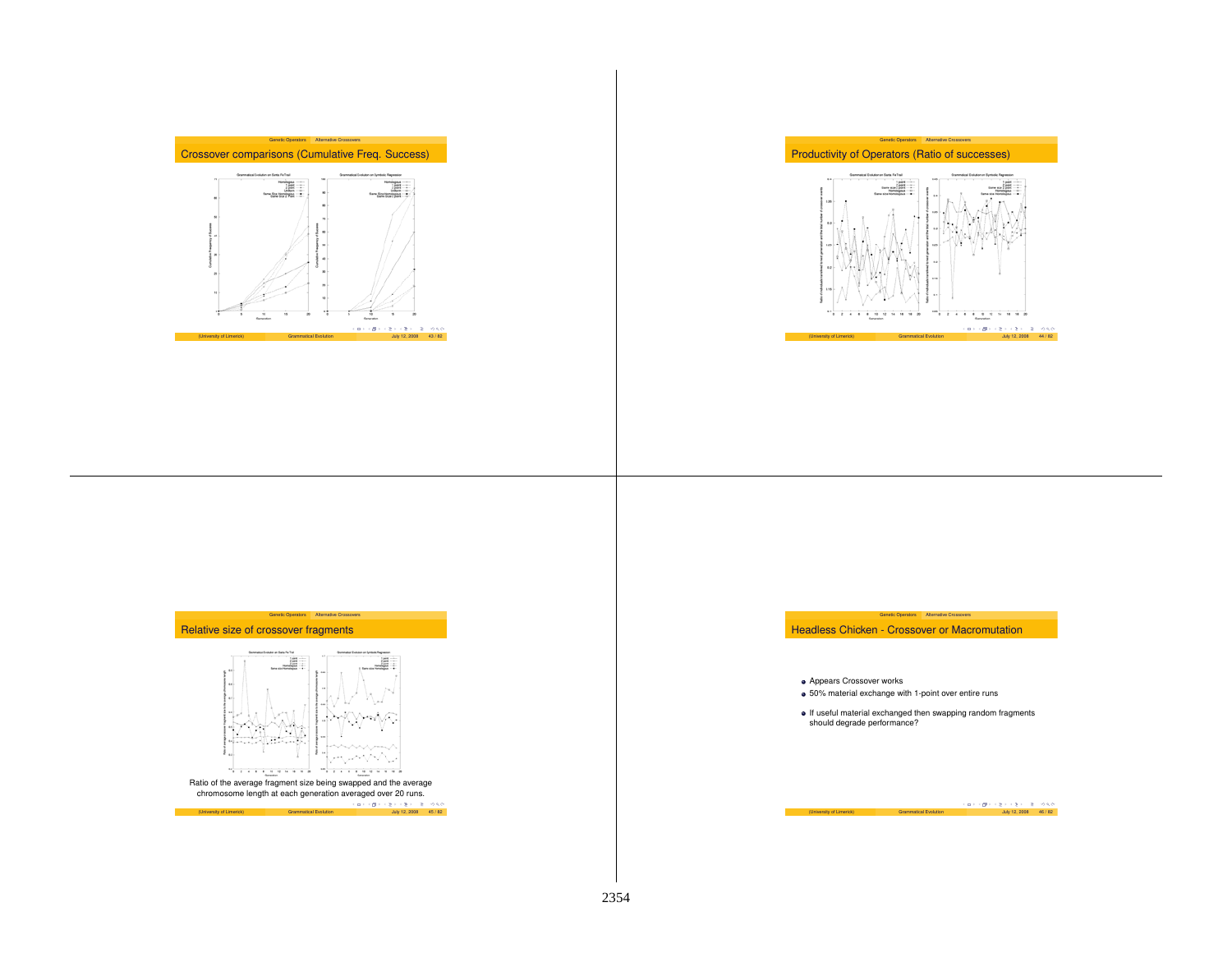



## Relative size of crossover fragments



Genetic Operators Alternative Crossovers

Ratio of the average fragment size being swapped and the average chromosome length at each generation averaged over 20 runs.  $(1 - 4) + (3 + 4) + (3 + 4) + (2 + 4) + (3 + 4) + (2 + 4) + (3 + 4) + (2 + 4) + (3 + 4) + (2 + 2) + (3 + 4) + (4 + 4) + (2 + 2) + (3 + 4) + (4 + 4) + (5 + 4) + (6 + 4) + (7 + 4) + (8 + 4) + (9 + 4) + (10 + 4) + (11 + 4) + (12 + 2) + (13 + 4) + (14 + 4) + (15 + 4) + (11 + 4) + (11 + 4) + (12 + 4) + (13 + 4) +$  Headless Chicken - Crossover or Macromutation

Genetic Operators Alternative Crossovers

Appears Crossover works

- 50% material exchange with 1-point over entire runs
- If useful material exchanged then swapping random fragments should degrade performance?

(University of Limerick) Grammatical Evolution July 12, 2008 46 / 82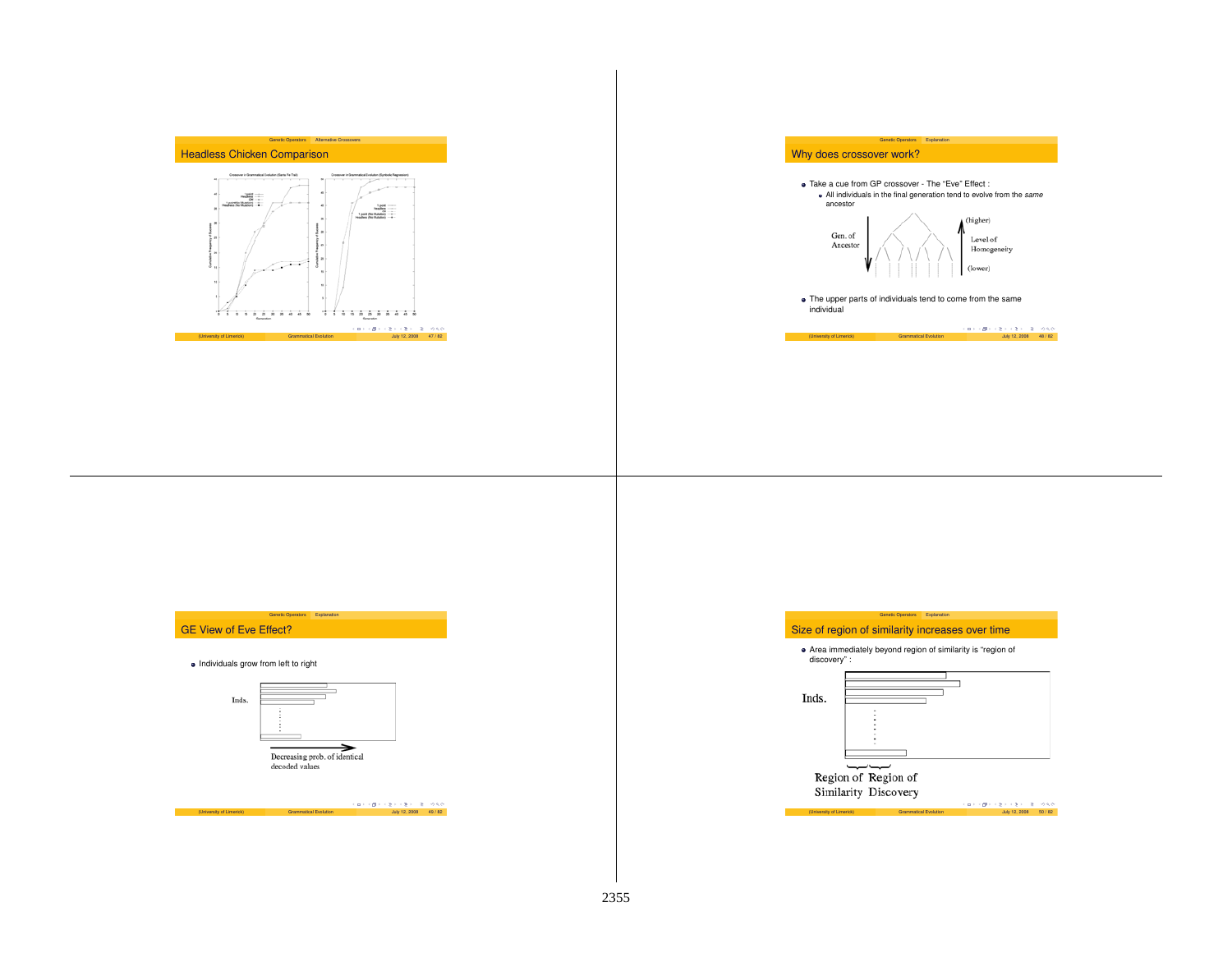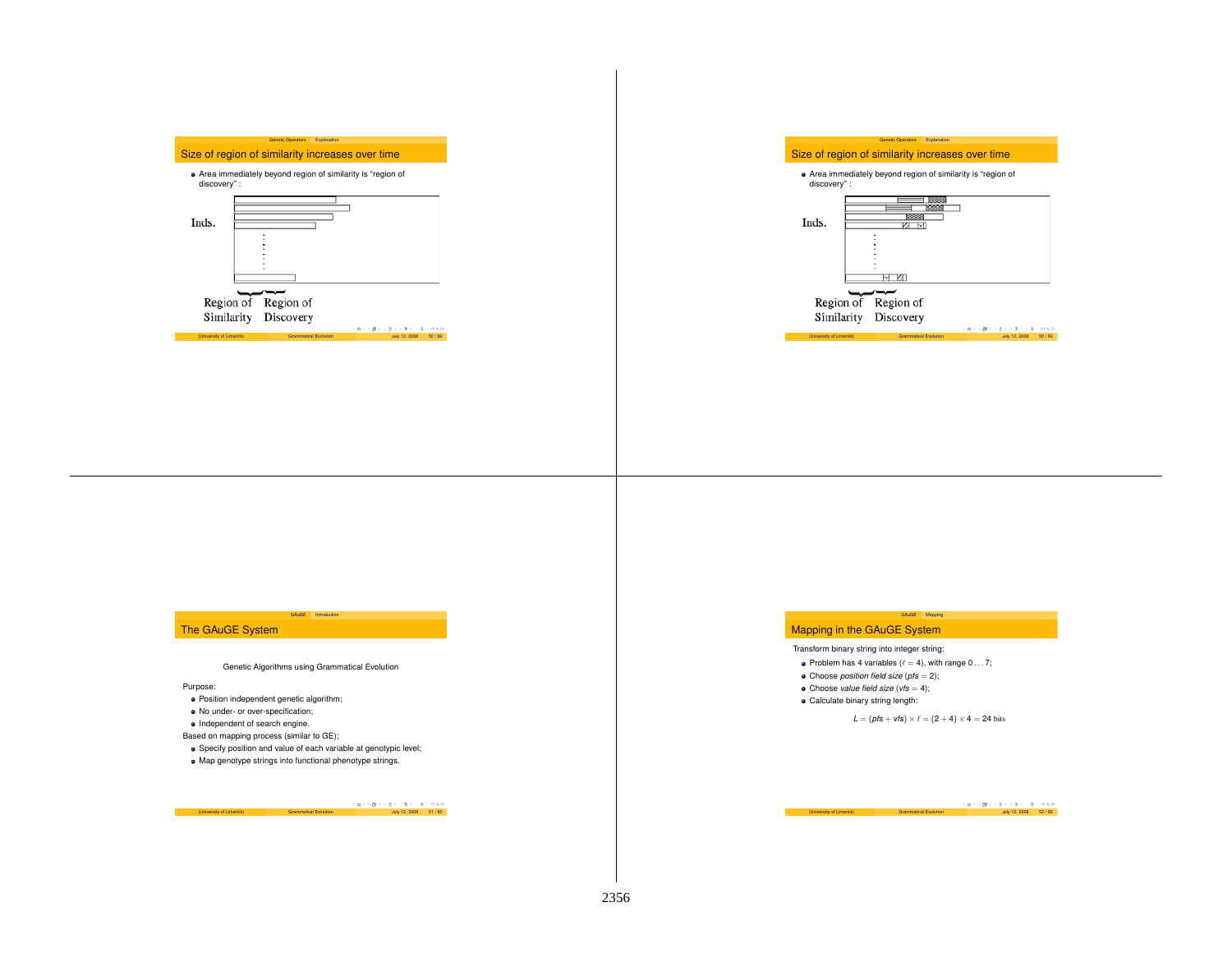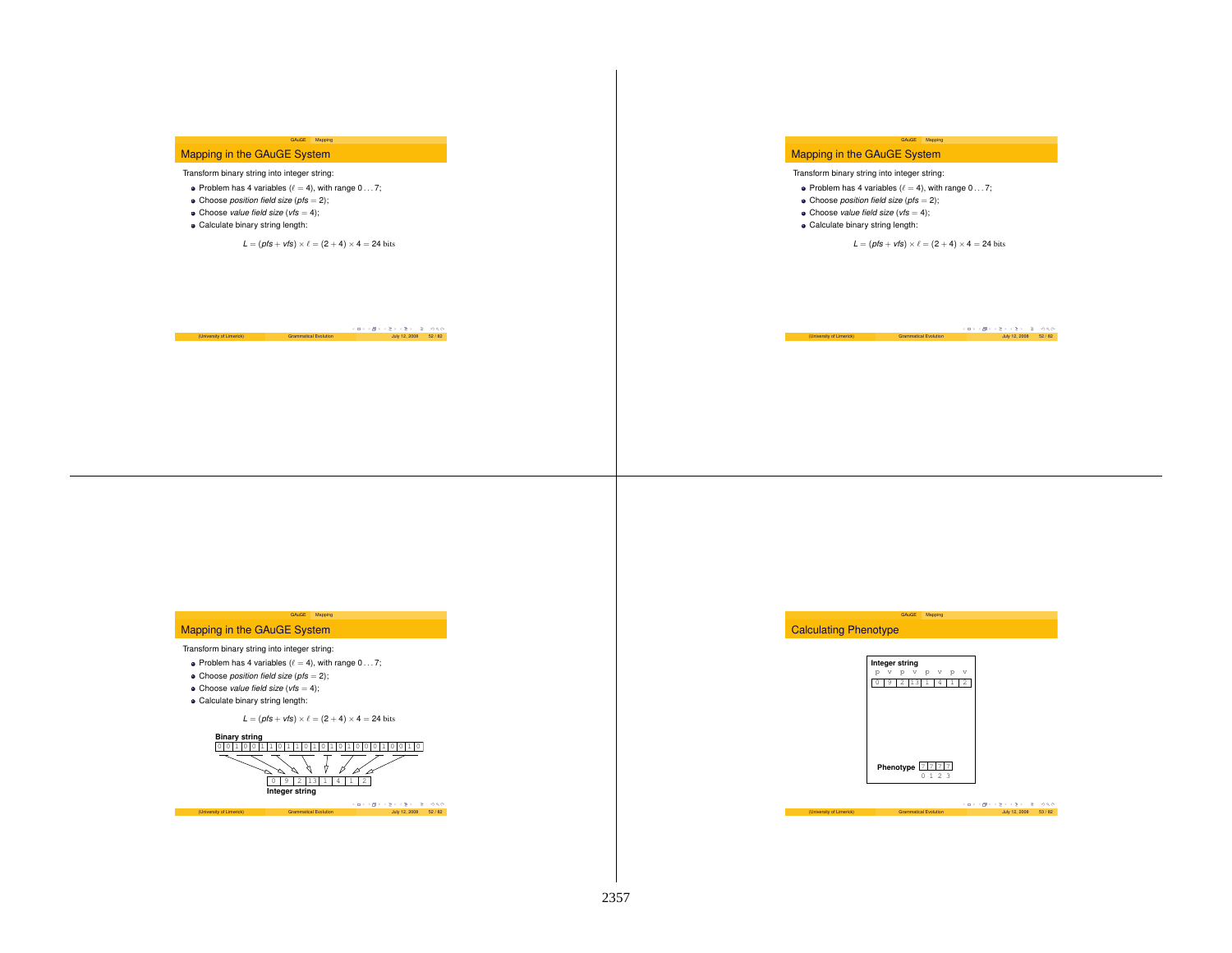## Mapping in the GAuGE System

## Transform binary string into integer string:

- Problem has 4 variables ( $\ell = 4$ ), with range  $0 \ldots 7$ ;
- Choose *position field size* (*pfs* <sup>=</sup> 2);
- Choose *value field size* (*vfs* <sup>=</sup> 4);
- Calculate binary string length:

 $L = (pfs + vfs) \times \ell = (2 + 4) \times 4 = 24$  bits

GAuGE Mapping

## Mapping in the GAuGE System

Transform binary string into integer string:

- Problem has 4 variables ( $\ell = 4$ ), with range 0...7;
- Choose *position field size* (*pfs* <sup>=</sup> 2);
- Choose *value field size* (*vfs* <sup>=</sup> 4);
- Calculate binary string length:

 $L = (pfs + vfs) \times \ell = (2 + 4) \times 4 = 24$  bits

GAuGE Mapping

 $(University of Limited)$  Grammatical Evolution  $\frac{1}{2}$   $\frac{1}{2}$   $\frac{1}{2}$   $\frac{1}{2}$   $\frac{1}{2}$   $\frac{1}{2}$   $\frac{1}{2}$   $\frac{1}{2}$   $\frac{1}{2}$   $\frac{1}{2}$   $\frac{1}{2}$   $\frac{1}{2}$   $\frac{1}{2}$   $\frac{1}{2}$   $\frac{1}{2}$   $\frac{1}{2}$   $\frac{1}{2}$   $\frac{1}{2}$   $\frac{1}{2}$ 

# (University of Limerick) Grammatical Evolution  $\frac{1}{2}$  (  $\frac{1}{2}$  /  $\frac{1}{2}$  /  $\frac{1}{2}$  /  $\frac{1}{2}$  /  $\frac{1}{2}$  /  $\frac{1}{2}$  /  $\frac{1}{2}$  /  $\frac{1}{2}$  /  $\frac{1}{2}$  /  $\frac{1}{2}$  /  $\frac{1}{2}$  /  $\frac{1}{2}$  /  $\frac{1}{2}$  /  $\frac{1}{$

## Mapping in the GAuGE System

#### Transform binary string into integer string:

- Problem has 4 variables ( $\ell = 4$ ), with range 0... 7;
- Choose *position field size* (*pfs* <sup>=</sup> 2);
- Choose *value field size* (*vfs* <sup>=</sup> 4);
- Calculate binary string length:

 $L = (pfs + vfs) \times \ell = (2 + 4) \times 4 = 24$  bits

GAuGE Mapping



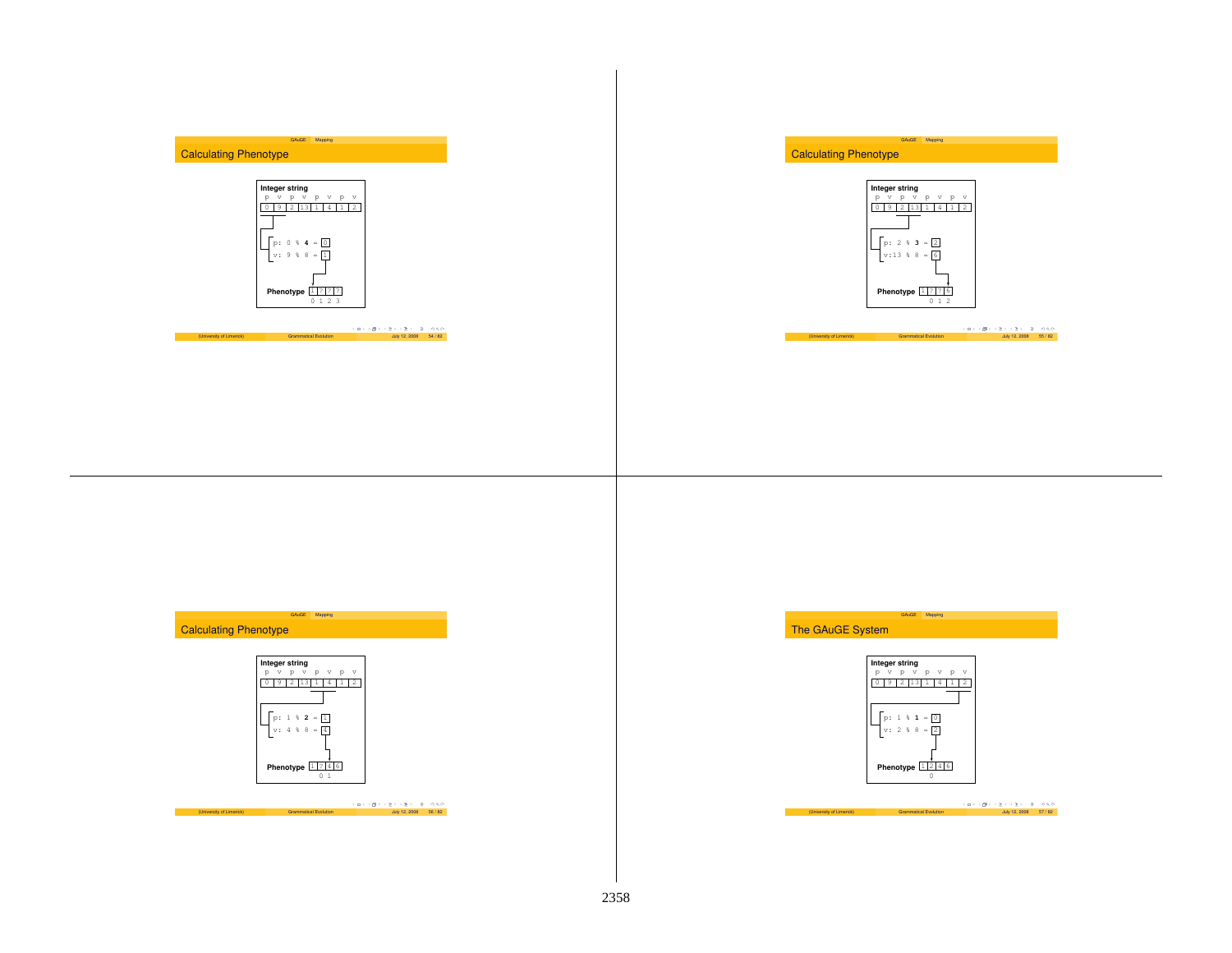## Calculating Phenotype



GAuGE Mapping

# (University of Limerick) Grammatical Evolution  $\left(\frac{1}{2} + \left(\frac{1}{2}\right) + \left(\frac{1}{2}\right) + \left(\frac{1}{2}\right) + \left(\frac{1}{2}\right) + \left(\frac{1}{2}\right) + \left(\frac{1}{2}\right) + \left(\frac{1}{2}\right) + \left(\frac{1}{2}\right) + \left(\frac{1}{2}\right) + \left(\frac{1}{2}\right) + \left(\frac{1}{2}\right) + \left(\frac{1}{2}\right) + \left(\frac{1}{2}\right) + \left(\frac{1}{$







## Calculating Phenotype



(University of Limerick) Grammatical Evolution کی دی ہے۔<br>Grammatical Evolution July 12, 2008 56 / 82 / 56 / 92

GAuGE Mapping

The GAuGE System



GAuGE Mapping

|                          |                              |  | - イロン イ御ン イミン イミン ニミー のなび |  |  |                         |  |
|--------------------------|------------------------------|--|---------------------------|--|--|-------------------------|--|
| (University of Limerick) | <b>Grammatical Evolution</b> |  |                           |  |  | July 12, 2008   57 / 82 |  |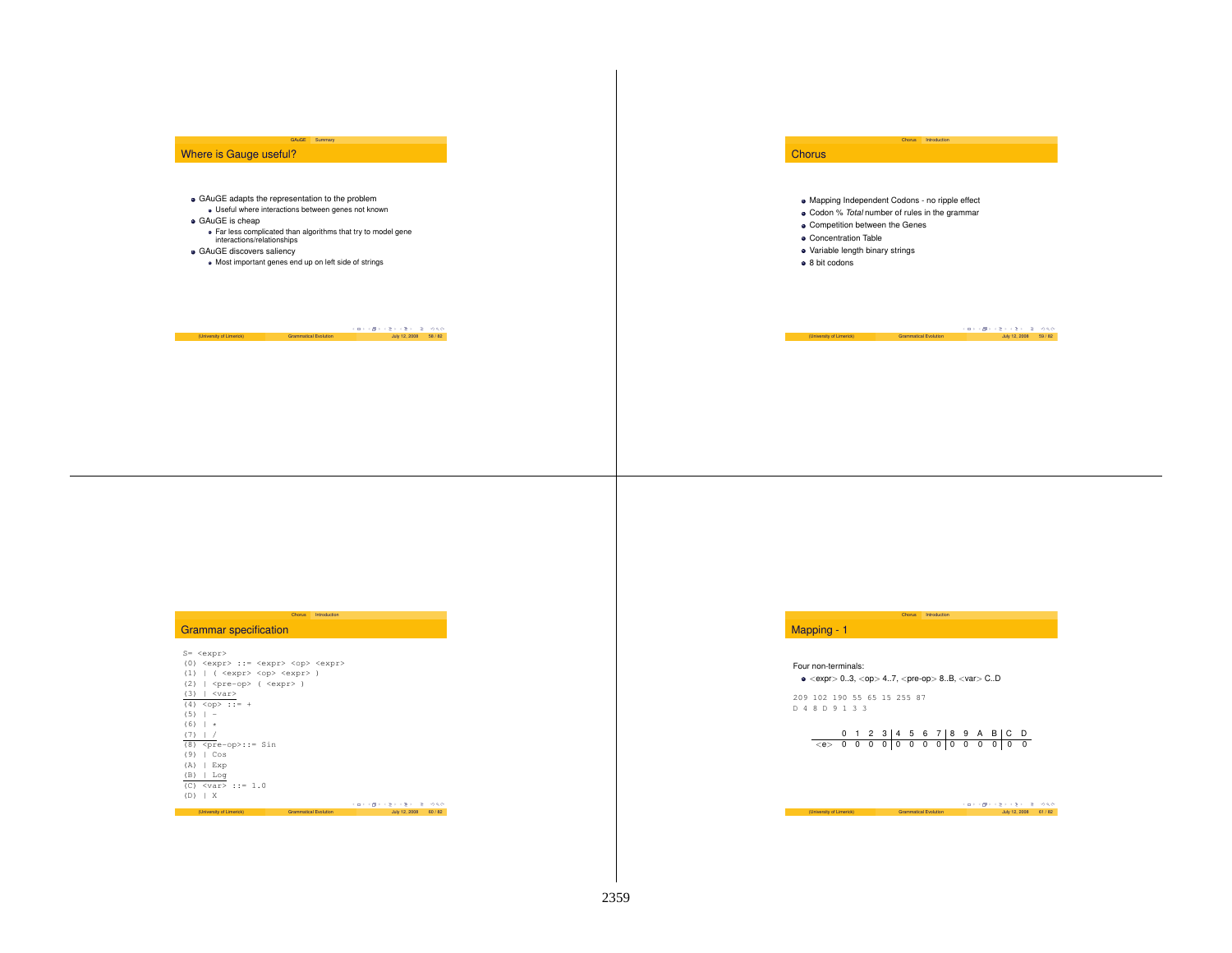## Where is Gauge useful?

- GAuGE adapts the representation to the problem Useful where interactions between genes not known
- GAuGE is cheap
- Far less complicated than algorithms that try to model gene interactions/relationships

GAuGE Summary

- GAuGE discovers saliency
- Most important genes end up on left side of strings

# $(10$ iversity of Limerick) Grammatical Evolution  $(10)$ uly 12, 2008  $58 / 82$

## **Chorus**

Mapping Independent Codons - no ripple effect

Chorus Introduction

- Codon % *Total* number of rules in the grammar
- Competition between the Genes
- Concentration Table
- Variable length binary strings
- 8 bit codons

 $(University of Limerick)$  Grammatical Evolution  $\frac{1}{2}$   $\frac{1}{2}$   $\frac{1}{2}$   $\frac{1}{2}$   $\frac{1}{2}$   $\frac{1}{2}$   $\frac{1}{2}$   $\frac{1}{2}$   $\frac{1}{2}$   $\frac{1}{2}$   $\frac{1}{2}$   $\frac{1}{2}$   $\frac{1}{2}$   $\frac{1}{2}$   $\frac{1}{2}$   $\frac{1}{2}$   $\frac{1}{2}$   $\frac{1}{2}$   $\frac{1}{$ 

## Grammar specification

| $S = $                                                      |                       |                        |       |
|-------------------------------------------------------------|-----------------------|------------------------|-------|
| (0) <expr> ::= <expr> <op> <expr></expr></op></expr></expr> |                       |                        |       |
| (1)<br>( <expr> <op> <expr> )</expr></op></expr>            |                       |                        |       |
| (2)<br><pre-op> ( <expr> )</expr></pre-op>                  |                       |                        |       |
| (3)<br><var></var>                                          |                       |                        |       |
| $(4)$ < op > : : = +                                        |                       |                        |       |
| (5)<br>ı<br>$\overline{\phantom{m}}$                        |                       |                        |       |
| (6)<br>$\star$                                              |                       |                        |       |
| (7)                                                         |                       |                        |       |
| (8)<br>$<$ pre-op>::= Sin                                   |                       |                        |       |
| (9)<br>Cos<br>Ш                                             |                       |                        |       |
| (A)<br>Exp                                                  |                       |                        |       |
| (B)<br>Log                                                  |                       |                        |       |
| (C) $\langle \text{var} \rangle$ ::= 1.0                    |                       |                        |       |
| (D)<br>$\mathbf{X}$                                         |                       |                        |       |
|                                                             |                       | イロトラ ぼう イミトラ ミトーミー のなび |       |
| (University of Limerick)                                    | Grammatical Evolution | July 12, 2008          | 60/82 |

Chorus Introduction

# Mapping - 1

#### Four non-terminals:

 $\bullet$  <expr> 0..3, <op> 4..7, <pre-op> 8..B, <var> C.D

209 102 190 55 65 15 255 87 D48D9133

# 0123 4567 89AB C D <e> 0000 0000 0000 0 0

Chorus Introduction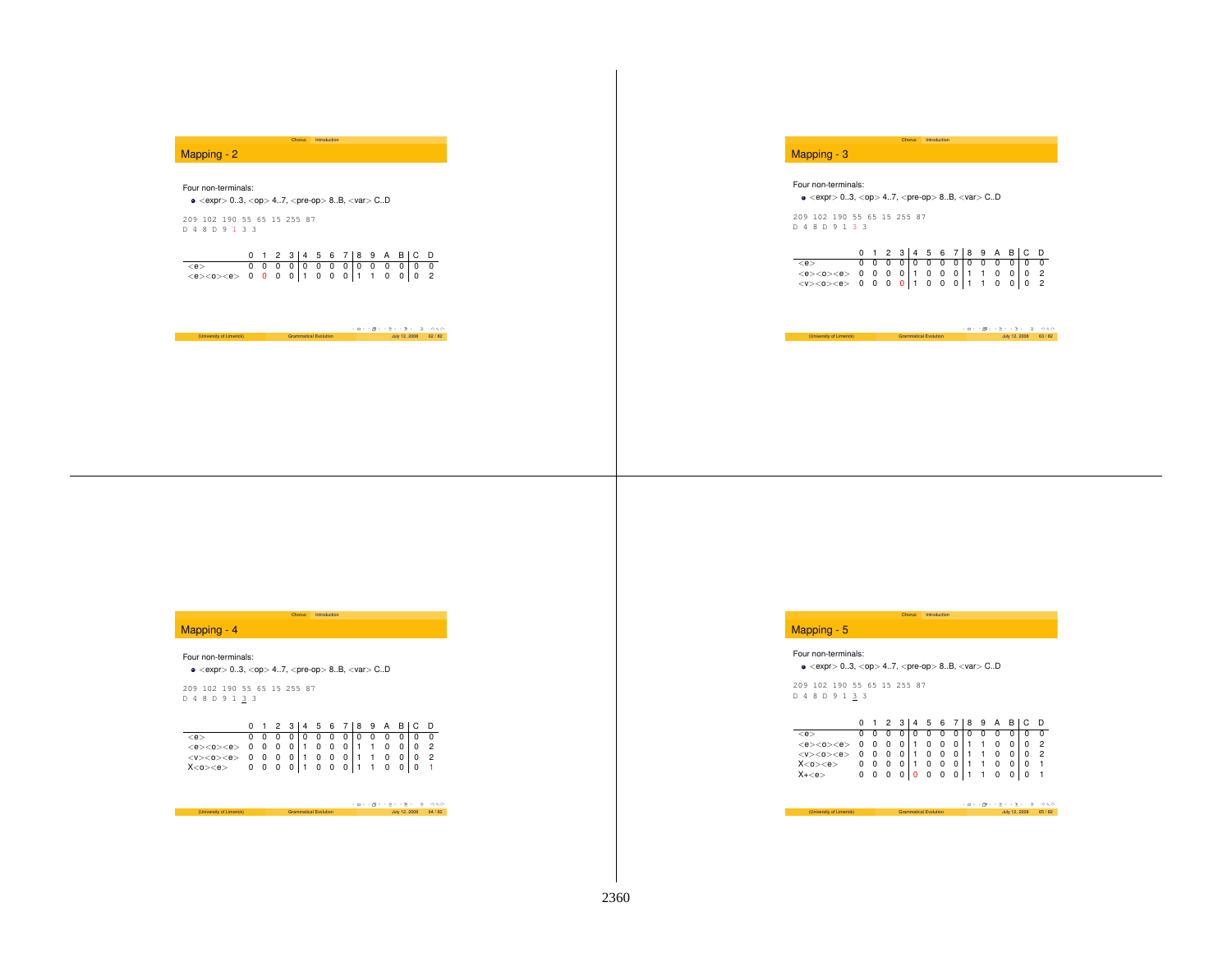## Mapping - 2

## Four non-terminals:

 $\bullet$  <expr> 0..3, <op> 4..7, <pre-op> 8..B, <var> C..D

209 102 190 55 65 15 255 87 D48D9 1 3 3

|  |  |  |  |  |  | $0$ 1 2 3 4 5 6 7 8 9 A B C D |  |
|--|--|--|--|--|--|-------------------------------|--|
|  |  |  |  |  |  |                               |  |
|  |  |  |  |  |  |                               |  |

Chorus Introduction

(University of Limerick) Grammatical Evolution  $\begin{array}{c} \left( \begin{array}{ccc} \Box \rightarrow & \Diamond \mathbb{P} & \Diamond \mathbb{P} & \Diamond \mathbb{P} \end{array} \right) & \Diamond \mathbb{Q} \setminus \mathbb{Q} \ \mathbb{Q} & \mathbb{Q} \mathbb{Z}/82 \end{array} \end{array}$ 

## Mapping - 3

#### Four non-terminals:

 $\bullet$  <expr> 0..3, <op> 4..7, <pre-op> 8..B, <var> C.D

209 102 190 55 65 15 255 87 D48D91 3 3

|                                                                                     |  |  |  |  |  |  | $0$ 1 2 3 4 5 6 7 8 9 A B C D   |  |
|-------------------------------------------------------------------------------------|--|--|--|--|--|--|---------------------------------|--|
| $<$ e $>$                                                                           |  |  |  |  |  |  | 0 0 0 0 0 0 0 0 0 0 0 0 0 0 0 0 |  |
| $\langle e \rangle \langle 0 \rangle \langle e \rangle$ 0 0 0 0 1 0 0 0 1 1 0 0 0 2 |  |  |  |  |  |  |                                 |  |
| $\langle V \rangle \langle 0 \rangle \langle e \rangle$ 0 0 0 0 1 0 0 0 1 1 0 0 0 2 |  |  |  |  |  |  |                                 |  |

Chorus Introduction

|                          |                              |  | スロッス押りスコンスラン 30 000   |  |
|--------------------------|------------------------------|--|-----------------------|--|
| (University of Limerick) | <b>Grammatical Evolution</b> |  | July 12, 2008 63 / 82 |  |

## Mapping - 4

#### Four non-terminals:

 $\bullet$  <expr> 0..3, <op> 4..7, <pre-op> 8..B, <var> C.D

209 102 190 55 65 15 255 87 D48D913 3

|                                                                                                                                                                                                                                                                                               |  |  |  |  |  |  | 0 1 2 3 4 5 6 7 8 9 A B C D |  |
|-----------------------------------------------------------------------------------------------------------------------------------------------------------------------------------------------------------------------------------------------------------------------------------------------|--|--|--|--|--|--|-----------------------------|--|
|                                                                                                                                                                                                                                                                                               |  |  |  |  |  |  |                             |  |
|                                                                                                                                                                                                                                                                                               |  |  |  |  |  |  |                             |  |
| $\begin{array}{cccccccccccc} \langle e \rangle & 0 & 0 & 0 & 0 & 0 & 0 & 0 & 0 & 0 & 0 & 0 & 0 \\ \langle e \rangle <0 > <0 > & 0 & 0 & 0 & 0 & 0 & 1 & 0 & 0 & 1 & 1 & 0 & 0 & 0 & 2 \\ \langle v \rangle <0 > <0 > & 0 & 0 & 0 & 0 & 0 & 1 & 0 & 0 & 0 & 1 & 1 & 0 & 0 & 0 & 2 \end{array}$ |  |  |  |  |  |  |                             |  |
| $X < 0$ > $< e$ > 0 0 0 0 1 0 0 0 1 1 0 0 0 1                                                                                                                                                                                                                                                 |  |  |  |  |  |  |                             |  |

Chorus Introduction

| (University of Limerick) | <b>Grammatical Evolution</b> |  | July 12, 2008 64 / 82 |  |
|--------------------------|------------------------------|--|-----------------------|--|
|                          |                              |  | スロメス ほうえき メキメー きこめなく  |  |

## Mapping - 5

#### Four non-terminals:

 $\bullet$  <expr> 0..3, <op> 4..7, <pre-op> 8..B, <var> C.D

209 102 190 55 65 15 255 87 D48D913 3

|                                                                                     |  |  |  |  |  |  | 0 1 2 3 4 5 6 7 8 9 A B C D |  |
|-------------------------------------------------------------------------------------|--|--|--|--|--|--|-----------------------------|--|
| 0 0 0 0 0 0 0 0 0 0 0 0 0 0 0<br>$<$ e $>$                                          |  |  |  |  |  |  |                             |  |
| $\langle e \rangle \langle 0 \rangle \langle e \rangle$ 0 0 0 0 1 0 0 0 1 1 0 0 0 2 |  |  |  |  |  |  |                             |  |
| $\langle V \rangle \langle 0 \rangle \langle e \rangle$ 0 0 0 0 1 0 0 0 1 1 0 0 0 2 |  |  |  |  |  |  |                             |  |
| $X < 0$ > $\lt e$ > 0 0 0 0 1 0 0 0 1 1 0 0 0 1                                     |  |  |  |  |  |  |                             |  |
| $X + \langle e \rangle$ 0 0 0 0 0 0 0 0 1 1 0 0 0 1                                 |  |  |  |  |  |  |                             |  |

Chorus Introduction

|                          |                              | イロンス ほう イミンスミン ニミーのなが |  |
|--------------------------|------------------------------|-----------------------|--|
| (University of Limerick) | <b>Grammatical Evolution</b> | July 12, 2008 65/82   |  |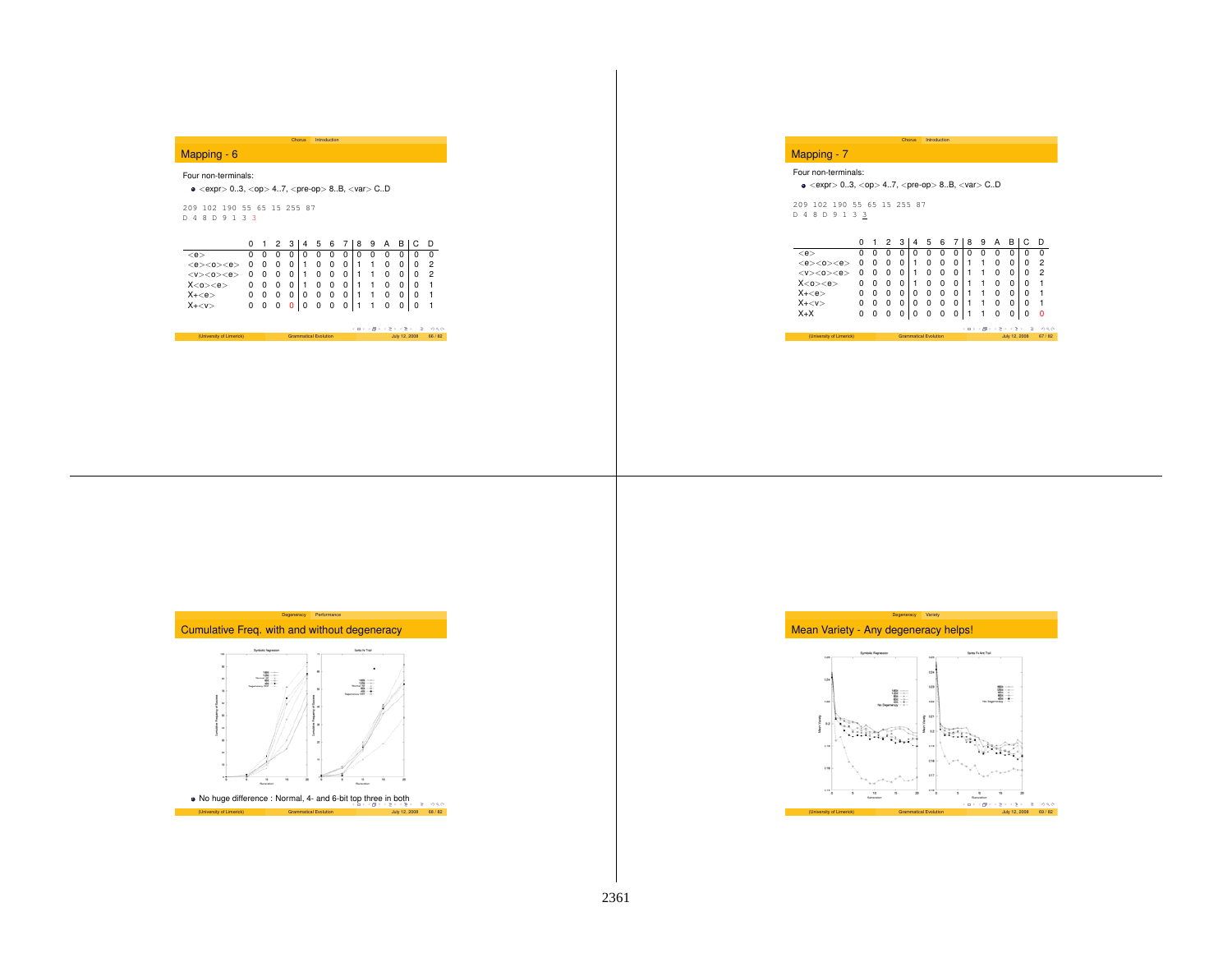## Mapping - 6

#### Four non-terminals:

## $\bullet$  <expr> 0..3, <op> 4..7, <pre-op> 8..B, <var> C..D

209 102 190 55 65 15 255 87 D48D913 3

|                                                                                     |  |  |  |  |  |  | 0 1 2 3 4 5 6 7 8 9 A B C D |  |
|-------------------------------------------------------------------------------------|--|--|--|--|--|--|-----------------------------|--|
| $<$ e $>$                                                                           |  |  |  |  |  |  |                             |  |
| $\langle e \rangle \langle 0 \rangle \langle e \rangle$ 0 0 0 0 1 0 0 0 1 1 0 0 0 2 |  |  |  |  |  |  |                             |  |
| $\langle V \rangle \langle 0 \rangle \langle e \rangle$ 0 0 0 0 1 0 0 0 1 1 0 0 0 2 |  |  |  |  |  |  |                             |  |
| $X < 0$ > $\lt e$ > 0 0 0 0 1 0 0 0 1 1 0 0 0 1                                     |  |  |  |  |  |  |                             |  |
| $X + $                                                                              |  |  |  |  |  |  | 0 0 0 0 0 0 0 0 1 1 0 0 0 1 |  |
| $X+<\nu>$                                                                           |  |  |  |  |  |  | 0 0 0 0 0 0 0 0 1 1 0 0 0 1 |  |

Chorus Introduction

(University of Limerick) Grammatical Evolution  $\cos \theta + \cos \theta + \cos 2 = 0$  July 12, 2008 66 / 82

## Mapping - 7

#### Four non-terminals:

 $\bullet$  <expr> 0..3, <op> 4..7, <pre-op> 8..B, <var> C.D

ChorusIntroduction

209 102 190 55 65 15 255 87<br>D 4 8 D 9 1 3 <u>3</u>

|                               |   |          | 2 | 3 |   | 5                            | 6 |   | 8 | 9 | А              | в                    |   | D     |
|-------------------------------|---|----------|---|---|---|------------------------------|---|---|---|---|----------------|----------------------|---|-------|
| $<$ e $>$                     |   | o        | 0 | 0 |   | O                            |   | 0 | Ω |   | Ω              | 0                    | O |       |
| <e>&lt;0&gt;<br/><e></e></e>  | 0 | Ω        | 0 | 0 |   | n                            |   | 0 |   |   | 0              | 0                    | Ω | 2     |
| $<$ v> $<$ o> $<$ e>          | 0 | $^{(1)}$ | 0 | 0 |   | Ω                            | 0 | 0 |   |   | Ω              | 0                    | Ω | 2     |
| X <sub>0</sub> < <sub>e</sub> | 0 | Ω        | 0 | 0 |   | Ω                            |   | 0 |   |   | Ω              | Ω                    | 0 |       |
| $X + $                        |   |          | 0 | 0 | Ω | 0                            |   | 0 |   |   | Ω              | 0                    | Ω | 1     |
| $X + $                        | Ω | o        | 0 | 0 | Ω | 0                            | 0 | 0 |   |   | Ω              | 0                    | Ω | 1     |
| $X+X$                         | 0 | Ω        | 0 | 0 | 0 | 0                            | 0 | 0 |   |   | 0              |                      | 0 | Ω     |
|                               |   |          |   |   |   |                              |   |   |   |   | イロンス(作) スカンスカン |                      | ٠ | 990   |
| (University of Limerick)      |   |          |   |   |   | <b>Grammatical Evolution</b> |   |   |   |   |                | <b>July 12, 2008</b> |   | 67/82 |



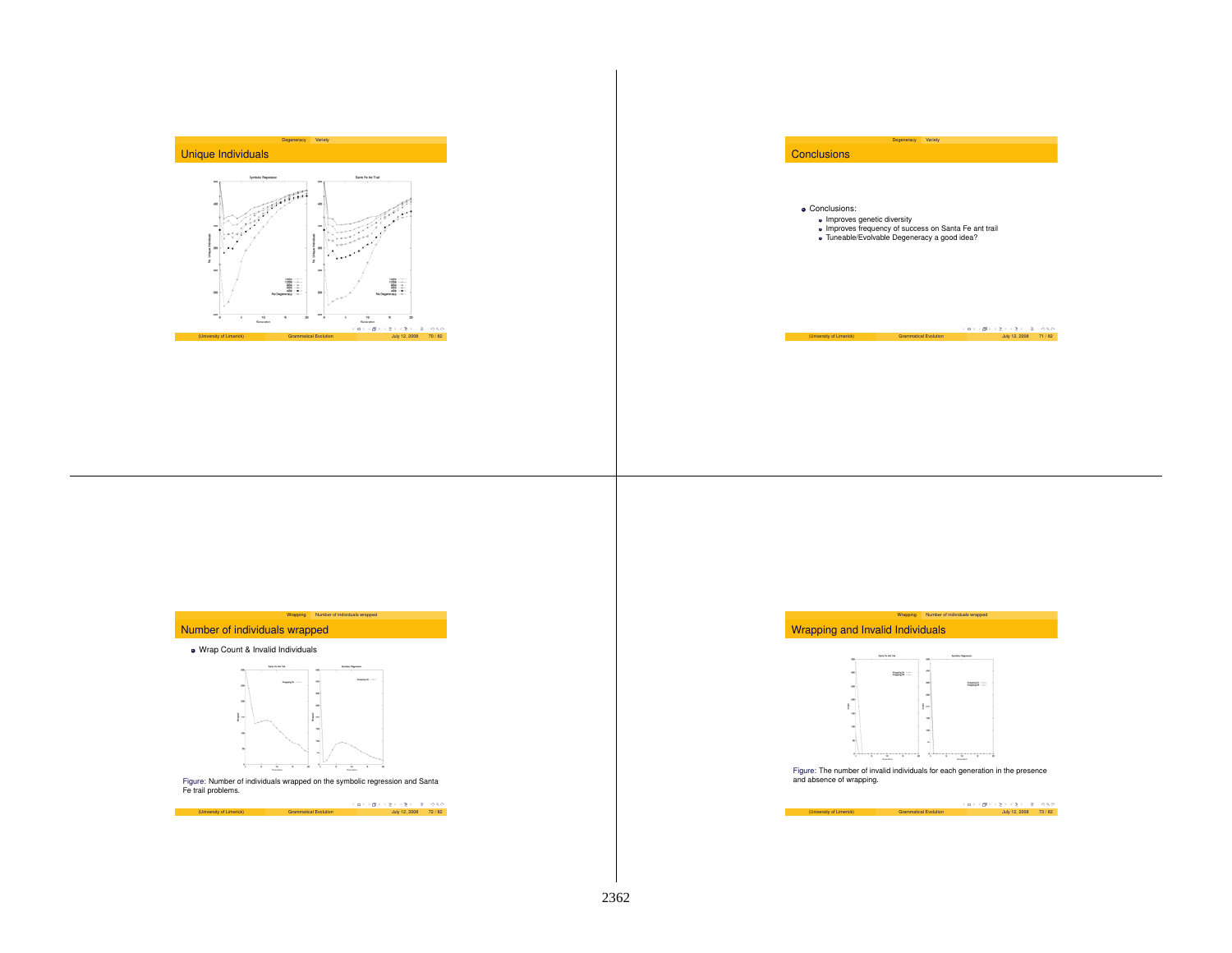



Degeneracy Variety





#### Wrap Count & Invalid Individuals



Figure: Number of individuals wrapped on the symbolic regression and Santa Fe trail problems.

 $(0.14 \times 10^{-3} + 10^{-3} + 10^{-3} + 10^{-3} + 10^{-3} + 10^{-3} + 10^{-3} + 10^{-3} + 10^{-3} + 10^{-3} + 10^{-3} + 10^{-3} + 10^{-3} + 10^{-3} + 10^{-3} + 10^{-3} + 10^{-3} + 10^{-3} + 10^{-3} + 10^{-3} + 10^{-3} + 10^{-3} + 10^{-3} + 10^{-3} + 10^{-3} + 10^{-3} + 10^{-3} + 10^{-3} + 10^{-3} + 10^{-3} + 10$ 





Figure: The number of invalid individuals for each generation in the presence and absence of wrapping.

(University of Limerick) Grammatical Evolution (Diversity 12, 2008 73 / 82<br>July 12, 2008 73 / 82 July 12, 2008 73 / 82

2362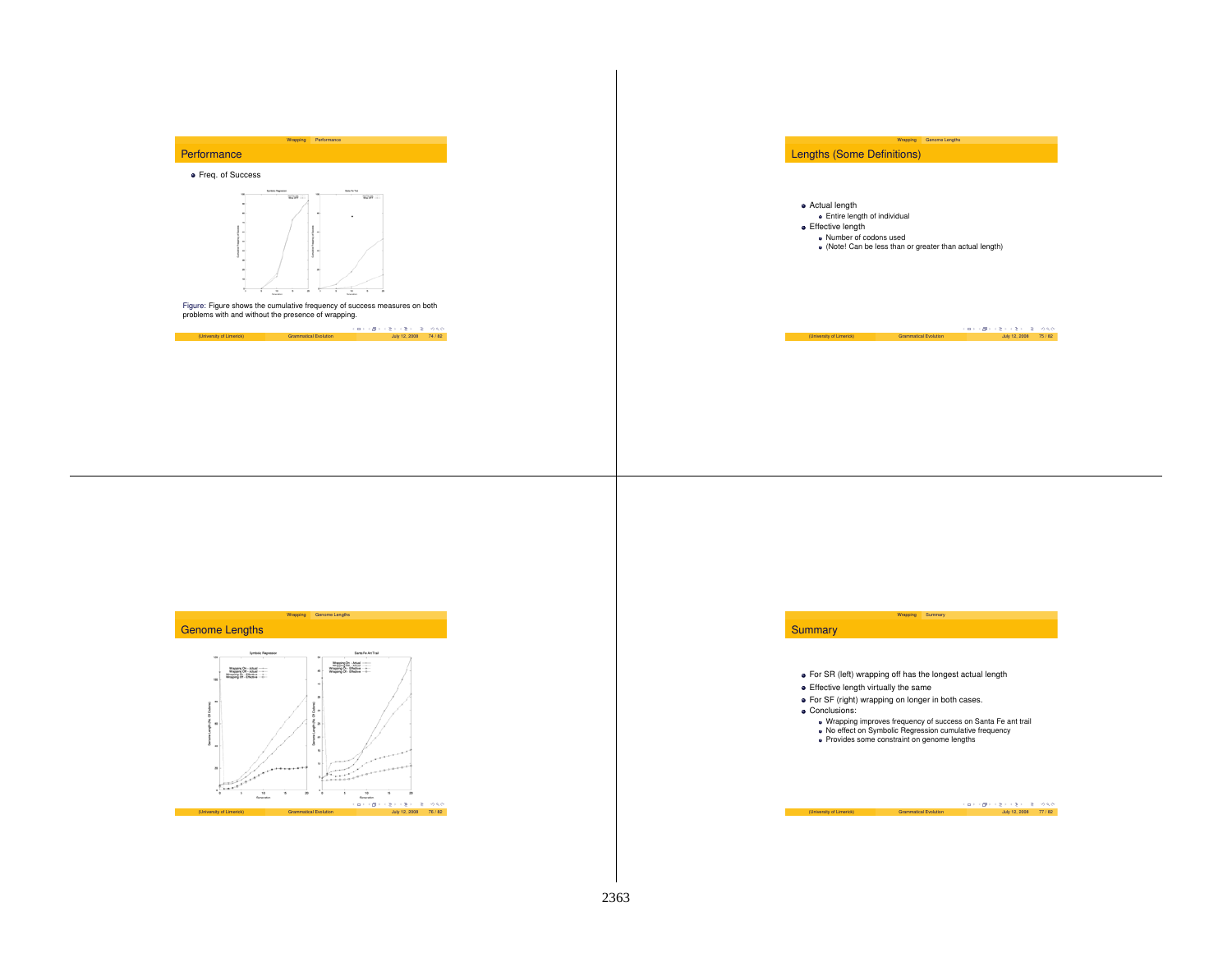

Freq. of Success



Figure: Figure shows the cumulative frequency of success measures on both problems with and without the presence of wrapping.



Wrapping Genome Lengths Lengths (Some Definitions)

Actual length

Entire length of individual

**•** Effective length

Number of codons used

(Note! Can be less than or greater than actual length)

(University of Limerick) Grammatical Evolution  $\frac{1}{2}$  ( $\frac{1}{2}$   $\cdot$   $\frac{1}{2}$   $\cdot$   $\cdot$   $\frac{3}{2}$   $\cdot$   $\cdot$   $\frac{5}{2}$   $\cdot$   $\cdot$   $\frac{3}{2}$   $\cdot$   $\cdot$   $\frac{2}{2}$   $\cdot$   $\cdot$   $\frac{2}{2}$   $\cdot$   $\cdot$   $\frac{3}{2}$   $\cdot$   $\cdot$   $\frac{3}{2}$ 





Wrapping improves frequency of success on Santa Fe ant trail No effect on Symbolic Regression cumulative frequency Provides some constraint on genome lengths

|                          |                              | スロップ ほう スミッスミット ミーのながっ |  |
|--------------------------|------------------------------|------------------------|--|
| (University of Limerick) | <b>Grammatical Evolution</b> | July 12, 2008 77 / 82  |  |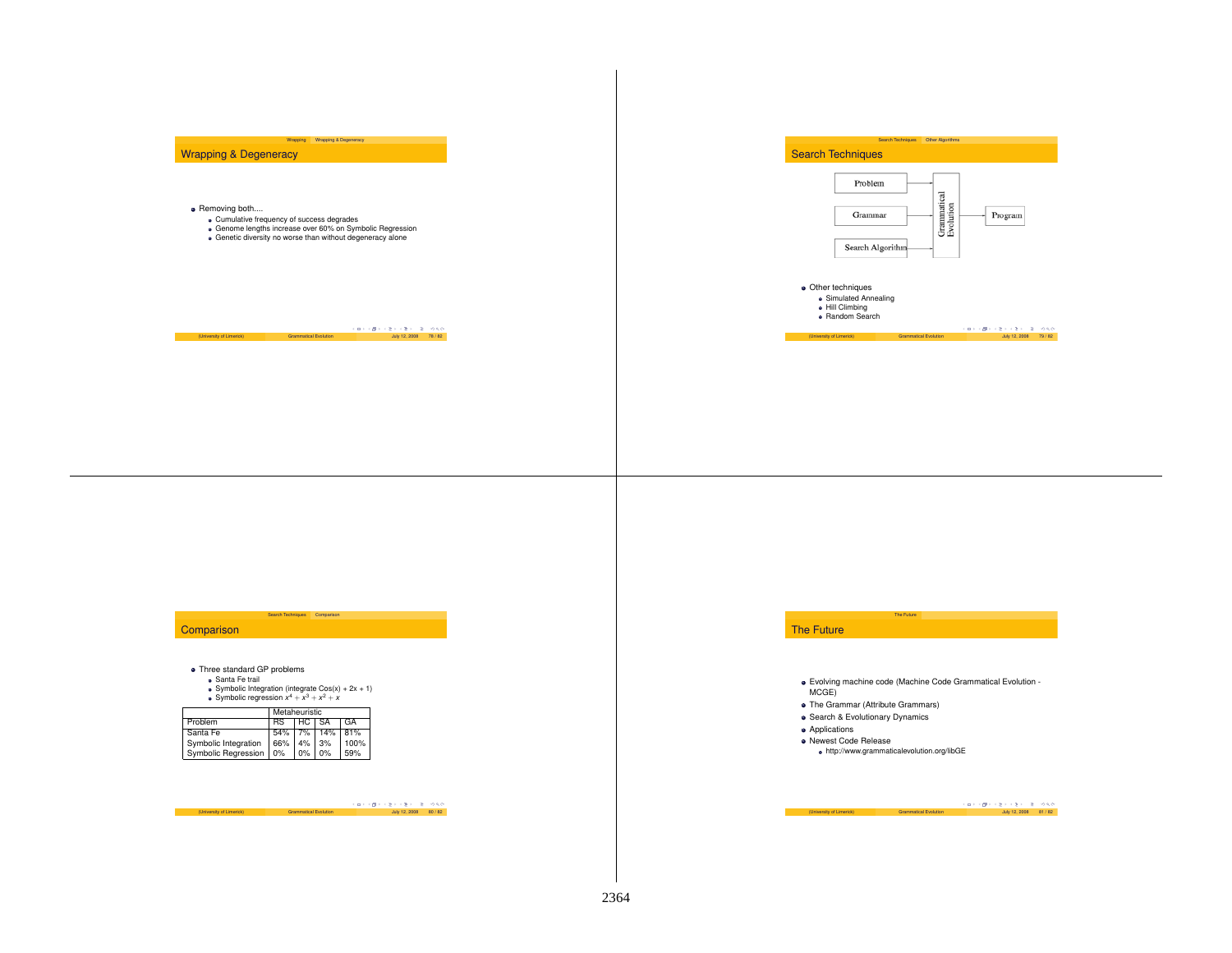